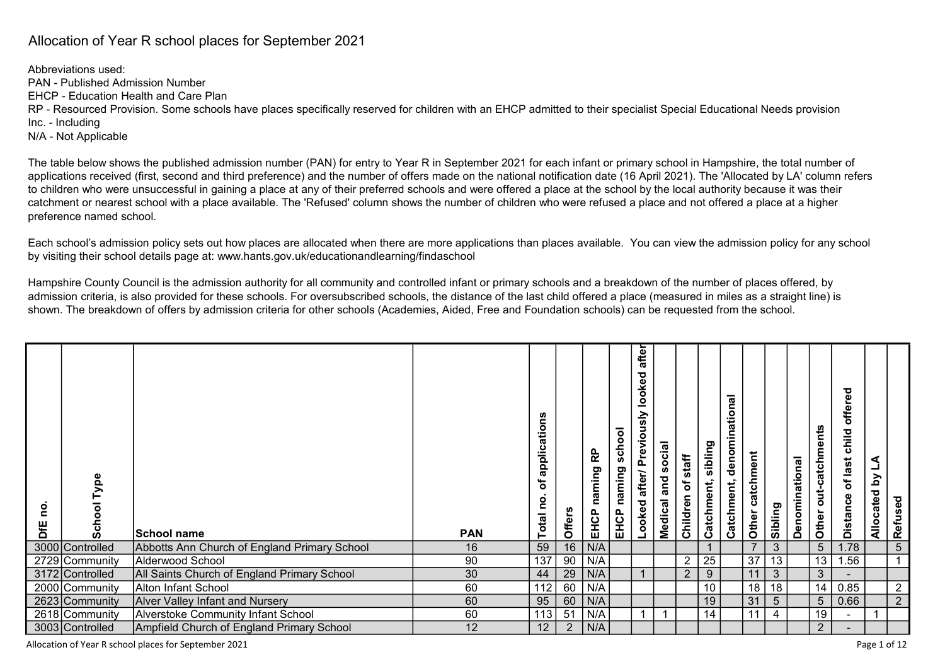## Allocation of Year R school places for September 2021

Abbreviations used: PAN - Published Admission Number EHCP - Education Health and Care Plan RP - Resourced Provision. Some schools have places specifically reserved for children with an EHCP admitted to their specialist Special Educational Needs provision Inc. - Including N/A - Not Applicable

The table below shows the published admission number (PAN) for entry to Year R in September 2021 for each infant or primary school in Hampshire, the total number of applications received (first, second and third preference) and the number of offers made on the national notification date (16 April 2021). The 'Allocated by LA' column refers to children who were unsuccessful in gaining a place at any of their preferred schools and were offered a place at the school by the local authority because it was their catchment or nearest school with a place available. The 'Refused' column shows the number of children who were refused a place and not offered a place at a higher preference named school.

Each school's admission policy sets out how places are allocated when there are more applications than places available. You can view the admission policy for any school by visiting their school details page at: www.hants.gov.uk/educationandlearning/findaschool

Hampshire County Council is the admission authority for all community and controlled infant or primary schools and a breakdown of the number of places offered, by admission criteria, is also provided for these schools. For oversubscribed schools, the distance of the last child offered a place (measured in miles as a straight line) is shown. The breakdown of offers by admission criteria for other schools (Academies, Aided, Free and Foundation schools) can be requested from the school.

| Type<br>ਠ<br><u>င</u><br>Schoo<br>DfE | School name                                  | <b>PAN</b> | applications<br><del>ة</del><br>Total no | <b>Offers</b>  | EHCP naming RP | school<br>naming<br>EHCP | after<br>ਠ<br>oke<br><u>ة</u><br>Looked after/ Previously | social<br>and<br>Medical | Children of staff | sibling<br>Catchment, | denominational<br>Catchment, | catchment<br>Other | Sibling         | Denominational | Other out-catchments | offered<br>child<br>Distance of last | Allocated by LA | Refused        |  |
|---------------------------------------|----------------------------------------------|------------|------------------------------------------|----------------|----------------|--------------------------|-----------------------------------------------------------|--------------------------|-------------------|-----------------------|------------------------------|--------------------|-----------------|----------------|----------------------|--------------------------------------|-----------------|----------------|--|
| 3000 Controlled                       | Abbotts Ann Church of England Primary School | 16         | 59                                       | 16             | N/A            |                          |                                                           |                          |                   |                       |                              | $\overline{ }$     | $\mathbf{3}$    |                | 5 <sup>5</sup>       | 1.78                                 |                 | $\overline{5}$ |  |
| 2729 Community                        | Alderwood School                             | 90         | 137                                      | 90             | N/A            |                          |                                                           |                          | $\overline{2}$    | 25                    |                              | $\overline{37}$    | 13              |                | 13 <sub>1</sub>      | 1.56                                 |                 |                |  |
| 3172 Controlled                       | All Saints Church of England Primary School  | 30         | 44                                       | 29             | N/A            |                          |                                                           |                          | 2 <sup>1</sup>    | 9                     |                              | 11                 | $\mathbf{3}$    |                | 3 <sup>2</sup>       |                                      |                 |                |  |
| 2000 Community                        | Alton Infant School                          | 60         | 112                                      | 60             | N/A            |                          |                                                           |                          |                   | 10                    |                              | 18                 | 18              |                | 14                   | 0.85                                 |                 | $\overline{2}$ |  |
| 2623 Community                        | <b>Alver Valley Infant and Nursery</b>       | 60         | 95                                       | 60             | N/A            |                          |                                                           |                          |                   | 19                    |                              | 31                 | $5\overline{)}$ |                | 5 <sup>1</sup>       | 0.66                                 |                 | $\overline{2}$ |  |
| 2618 Community                        | Alverstoke Community Infant School           | 60         | 113                                      | 51             | N/A            |                          |                                                           |                          |                   | 14                    |                              | 11                 | 4               |                | 19                   |                                      |                 |                |  |
| 3003 Controlled                       | Ampfield Church of England Primary School    | 12         | 12                                       | $\overline{2}$ | N/A            |                          |                                                           |                          |                   |                       |                              |                    |                 |                | $\overline{2}$       |                                      |                 |                |  |

Allocation of Year R school places for September 2021 **Page 1 of 12** Page 1 of 12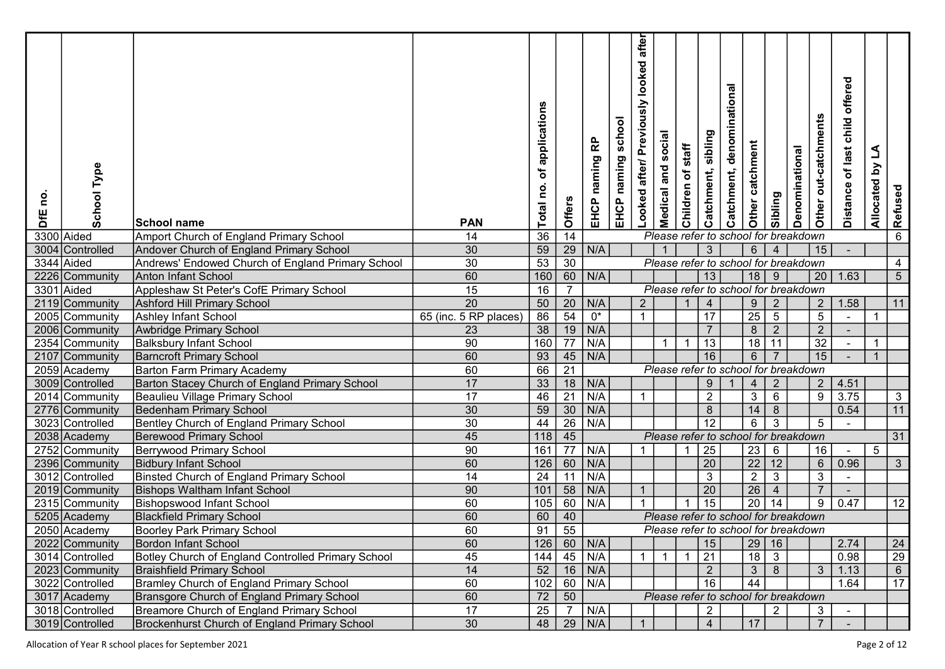| Type<br>School<br>0u<br>DfE | <b>School name</b>                                 | <b>PAN</b>            | of applications<br>Total no. | Offers          | 윤<br>naming<br>EHCP | school<br>EHCP naming | after<br>looked<br>Looked after/ Previously | social<br>and<br>Medical | staff<br>Children of | sibling<br>Catchment, | denominational<br>Catchment,         | catchment<br>Other | Sibling         | Denominational | Other out-catchments | offered<br>child<br>Distance of last | L<br>$\mathbf{\Sigma}$<br>Allocated | Refused         |
|-----------------------------|----------------------------------------------------|-----------------------|------------------------------|-----------------|---------------------|-----------------------|---------------------------------------------|--------------------------|----------------------|-----------------------|--------------------------------------|--------------------|-----------------|----------------|----------------------|--------------------------------------|-------------------------------------|-----------------|
| 3300 Aided                  | Amport Church of England Primary School            | 14                    | 36                           | $\overline{14}$ |                     |                       |                                             |                          |                      |                       | Please refer to school for breakdown |                    |                 |                |                      |                                      |                                     | 6               |
| 3004<br>Controlled          | Andover Church of England Primary School           | 30                    | 59                           | $\frac{29}{30}$ | N/A                 |                       |                                             |                          |                      | $\mathbf{3}$          |                                      | $6\phantom{.}$     | $\overline{4}$  |                | 15 <sub>1</sub>      |                                      |                                     |                 |
| 3344 Aided                  | Andrews' Endowed Church of England Primary School  | 30                    | 53                           |                 |                     |                       |                                             |                          |                      |                       | Please refer to school for breakdown |                    |                 |                |                      |                                      |                                     | 4               |
| 2226 Community              | <b>Anton Infant School</b>                         | 60                    | 160                          | $\overline{60}$ | N/A                 |                       |                                             |                          |                      | 13                    |                                      | 18                 | 9               |                |                      | $20$   1.63                          |                                     | $5\phantom{.0}$ |
| 3301<br>Aided               | Appleshaw St Peter's CofE Primary School           | 15                    | 16                           | $\overline{7}$  |                     |                       |                                             |                          |                      |                       | Please refer to school for breakdown |                    |                 |                |                      |                                      |                                     |                 |
| 2119 Community              | <b>Ashford Hill Primary School</b>                 | $\overline{20}$       | 50                           | $\overline{20}$ | N/A                 |                       | $\overline{2}$                              |                          |                      | $\overline{4}$        |                                      | 9                  | $\overline{2}$  |                | 2                    | 1.58                                 |                                     | 11              |
| 2005 Community              | Ashley Infant School                               | 65 (inc. 5 RP places) | $\overline{86}$              | $\overline{54}$ | $0^\star$           |                       | $\blacktriangleleft$                        |                          |                      | 17                    |                                      | $\overline{25}$    | $\overline{5}$  |                | $\overline{5}$       |                                      |                                     |                 |
| 2006 Community              | Awbridge Primary School                            | 23                    | $\overline{38}$              | 19              | N/A                 |                       |                                             |                          |                      | $\overline{7}$        |                                      | $\overline{8}$     | $\overline{2}$  |                | $\overline{2}$       |                                      |                                     |                 |
| 2354 Community              | <b>Balksbury Infant School</b>                     | 90                    | 160                          | $\overline{77}$ | N/A                 |                       |                                             |                          |                      | 13                    |                                      | 18                 | 11              |                | 32                   |                                      | -1                                  |                 |
| 2107 Community              | <b>Barncroft Primary School</b>                    | 60                    | 93                           | 45              | N/A                 |                       |                                             |                          |                      | 16                    |                                      | $\,6$              |                 |                | 15                   |                                      | -1                                  |                 |
| 2059 Academy                | <b>Barton Farm Primary Academy</b>                 | 60                    | 66                           | $\overline{21}$ |                     |                       |                                             |                          |                      |                       | Please refer to school for breakdown |                    |                 |                |                      |                                      |                                     |                 |
| 3009 Controlled             | Barton Stacey Church of England Primary School     | 17                    | 33                           | 18              | N/A                 |                       |                                             |                          |                      | $9\,$                 |                                      | $\overline{4}$     | $\overline{2}$  |                | 2 <sup>1</sup>       | 4.51                                 |                                     |                 |
| 2014 Community              | Beaulieu Village Primary School                    | 17                    | 46                           | $\overline{21}$ | N/A                 |                       | $\mathbf{1}$                                |                          |                      | $\overline{2}$        |                                      | $\sqrt{3}$         | $\,6\,$         |                | $9\,$                | 3.75                                 |                                     | $\mathbf{3}$    |
| 2776 Community              | <b>Bedenham Primary School</b>                     | 30                    | 59                           | 30              | N/A                 |                       |                                             |                          |                      | $\boldsymbol{8}$      |                                      | 14                 | 8               |                |                      | 0.54                                 |                                     | 11              |
| 3023 Controlled             | Bentley Church of England Primary School           | 30                    | 44                           | $\overline{26}$ | N/A                 |                       |                                             |                          |                      | $\overline{12}$       |                                      | $\,6$              | $\overline{3}$  |                | $5\phantom{.0}$      |                                      |                                     |                 |
| 2038 Academy                | <b>Berewood Primary School</b>                     | 45                    | 118                          | 45              |                     |                       |                                             |                          |                      |                       | Please refer to school for breakdown |                    |                 |                |                      |                                      |                                     | 31              |
| 2752 Community              | <b>Berrywood Primary School</b>                    | 90                    | 161                          | $\overline{77}$ | N/A                 |                       |                                             |                          |                      | 25                    |                                      | 23                 | 6               |                | 16                   |                                      | $5\phantom{.0}$                     |                 |
| 2396 Community              | <b>Bidbury Infant School</b>                       | 60                    | 126                          | 60              | N/A                 |                       |                                             |                          |                      | $\overline{20}$       |                                      | $\overline{22}$    | 12              |                | 6 <sup>1</sup>       | 0.96                                 |                                     | $\mathfrak{S}$  |
| 3012 Controlled             | Binsted Church of England Primary School           | 14                    | 24                           | 11              | N/A                 |                       |                                             |                          |                      | $\overline{3}$        |                                      | $\overline{2}$     | $\overline{3}$  |                | $\overline{3}$       | $\sim$                               |                                     |                 |
| 2019 Community              | <b>Bishops Waltham Infant School</b>               | 90                    | 101                          | $\overline{58}$ | N/A                 |                       | $\overline{1}$                              |                          |                      | 20                    |                                      | $\overline{26}$    | $\overline{4}$  |                | $\overline{7}$       |                                      |                                     |                 |
| 2315 Community              | <b>Bishopswood Infant School</b>                   | 60                    | 105                          | 60              | N/A                 |                       |                                             |                          |                      | $\overline{15}$       |                                      | $\overline{20}$    | $\overline{14}$ |                | 9                    | 0.47                                 |                                     | 12              |
| 5205 Academy                | <b>Blackfield Primary School</b>                   | 60                    | 60                           | 40              |                     |                       |                                             |                          |                      |                       | Please refer to school for breakdown |                    |                 |                |                      |                                      |                                     |                 |
| 2050 Academy                | <b>Boorley Park Primary School</b>                 | 60                    | 91                           | 55              |                     |                       |                                             |                          |                      |                       | Please refer to school for breakdown |                    |                 |                |                      |                                      |                                     |                 |
| 2022 Community              | Bordon Infant School                               | 60                    |                              |                 | $126$ 60 N/A        |                       |                                             |                          |                      | 15                    |                                      |                    | 29 16           |                |                      | 2.74                                 |                                     | 24              |
| 3014 Controlled             | Botley Church of England Controlled Primary School | 45                    |                              |                 | $144$ 45 N/A        |                       | $\overline{1}$                              | $\overline{1}$           |                      | 21                    |                                      | $18 \overline{)3}$ |                 |                |                      | 0.98                                 |                                     | $\overline{29}$ |
| 2023 Community              | Braishfield Primary School                         | 14                    | 52                           |                 | $16$ N/A            |                       |                                             |                          |                      | $\overline{2}$        |                                      | 3 <sup>1</sup>     | 8               |                | 3                    | 1.13                                 |                                     | 6 <sup>1</sup>  |
| 3022 Controlled             | Bramley Church of England Primary School           | 60                    | $\overline{102}$             | 60              | N/A                 |                       |                                             |                          |                      | $\overline{16}$       |                                      | 44                 |                 |                |                      | 1.64                                 |                                     | $\overline{17}$ |
| 3017 Academy                | Bransgore Church of England Primary School         | 60                    | $\overline{72}$              | 50              |                     |                       |                                             |                          |                      |                       | Please refer to school for breakdown |                    |                 |                |                      |                                      |                                     |                 |
| 3018 Controlled             | Breamore Church of England Primary School          | $\overline{17}$       | 25                           | $\overline{7}$  | N/A                 |                       |                                             |                          |                      | $\overline{2}$        |                                      |                    | $\overline{2}$  |                | 3 <sup>1</sup>       |                                      |                                     |                 |
| 3019 Controlled             | Brockenhurst Church of England Primary School      | $\overline{30}$       |                              |                 | 48   29   N/A       |                       | $\overline{1}$                              |                          |                      | $\overline{4}$        |                                      | $\sqrt{17}$        |                 |                | $7^{\circ}$          | $\sim$                               |                                     |                 |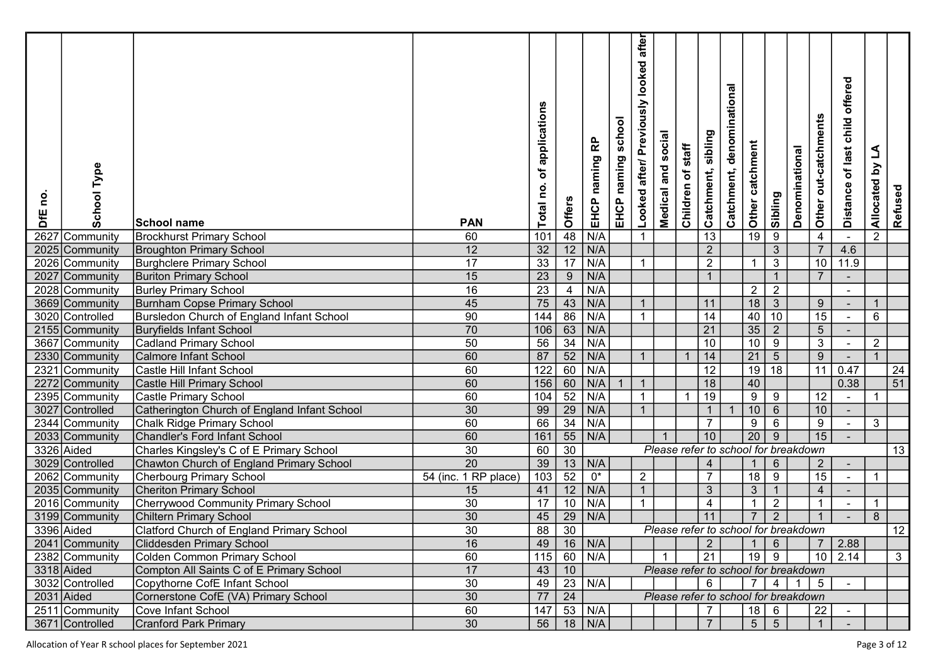| <u>o</u><br><b>SFE</b> | Type<br>School    | School name                                      | <b>PAN</b>           | applications<br>đ<br>Total no | Offers           | 운<br>naming<br>EHCP | school<br>naming<br>EHCP | after<br>looked<br>Looked after/ Previously | <b>Medical and social</b> | staff<br>Children of | sibling<br>Catchment, | denominational<br>Catchment,         | Other catchment  | Sibling          | Denominational | Other out-catchments | offered<br>child<br>Distance of last | L<br>Allocated by | Refused         |  |
|------------------------|-------------------|--------------------------------------------------|----------------------|-------------------------------|------------------|---------------------|--------------------------|---------------------------------------------|---------------------------|----------------------|-----------------------|--------------------------------------|------------------|------------------|----------------|----------------------|--------------------------------------|-------------------|-----------------|--|
| 2627                   | Community         | <b>Brockhurst Primary School</b>                 | 60                   | 101                           | 48               | N/A                 |                          | $\mathbf{1}$                                |                           |                      | 13                    |                                      | $\overline{19}$  | $\boldsymbol{9}$ |                | $\overline{4}$       |                                      | $\overline{2}$    |                 |  |
|                        | 2025 Community    | <b>Broughton Primary School</b>                  | 12                   | 32                            | $\overline{12}$  | N/A                 |                          |                                             |                           |                      | $\overline{2}$        |                                      |                  | $\overline{3}$   |                | $\overline{7}$       | 4.6                                  |                   |                 |  |
|                        | 2026 Community    | <b>Burghclere Primary School</b>                 | 17                   | $\overline{33}$               | $\overline{17}$  | N/A                 |                          | $\mathbf{1}$                                |                           |                      | $\overline{2}$        |                                      | $\overline{1}$   | $\sqrt{3}$       |                | 10 <sub>1</sub>      | 11.9                                 |                   |                 |  |
|                        | 2027 Community    | <b>Buriton Primary School</b>                    | 15                   | $\overline{23}$               | $\boldsymbol{9}$ | N/A                 |                          |                                             |                           |                      |                       |                                      |                  | $\mathbf{1}$     |                | $\overline{7}$       |                                      |                   |                 |  |
|                        | 2028 Community    | <b>Burley Primary School</b>                     | 16                   | $\overline{23}$               | $\overline{4}$   | N/A                 |                          |                                             |                           |                      |                       |                                      | $\overline{2}$   | $\overline{2}$   |                |                      |                                      |                   |                 |  |
|                        | 3669 Community    | <b>Burnham Copse Primary School</b>              | 45                   | 75                            | 43               | N/A                 |                          | $\overline{1}$                              |                           |                      | 11                    |                                      | 18               | $\overline{3}$   |                | 9                    |                                      | $\mathbf{1}$      |                 |  |
|                        | 3020 Controlled   | Bursledon Church of England Infant School        | 90                   | $\frac{1}{144}$               | 86               | N/A                 |                          | $\mathbf{1}$                                |                           |                      | 14                    |                                      | 40               | 10               |                | $\overline{15}$      |                                      | 6                 |                 |  |
|                        | 2155 Community    | <b>Buryfields Infant School</b>                  | 70                   | 106                           | $\overline{63}$  | N/A                 |                          |                                             |                           |                      | 21                    |                                      | $\overline{35}$  | $\overline{2}$   |                | $\overline{5}$       |                                      |                   |                 |  |
|                        | 3667 Community    | <b>Cadland Primary School</b>                    | 50                   | 56                            | $\overline{34}$  | N/A                 |                          |                                             |                           |                      | 10                    |                                      | 10               | $\,9$            |                | $\overline{3}$       |                                      | $\overline{2}$    |                 |  |
|                        | 2330 Community    | <b>Calmore Infant School</b>                     | 60                   | 87                            | $\overline{52}$  | N/A                 |                          | $\overline{1}$                              |                           |                      | 14                    |                                      | $\overline{21}$  | $\overline{5}$   |                | 9 <sup>°</sup>       |                                      | $\mathbf{1}$      |                 |  |
|                        | 2321 Community    | Castle Hill Infant School                        | 60                   | $\overline{122}$              | 60               | N/A                 |                          |                                             |                           |                      | 12                    |                                      | $\overline{19}$  | $\overline{18}$  |                | 11                   | 0.47                                 |                   | 24              |  |
|                        | 2272 Community    | Castle Hill Primary School                       | 60                   | 156                           | 60               | N/A                 |                          | $\overline{1}$                              |                           |                      | 18                    |                                      | $40\,$           |                  |                |                      | 0.38                                 |                   | $\overline{51}$ |  |
|                        | 2395 Community    | Castle Primary School                            | 60                   | 104                           | 52               | N/A                 |                          | $\mathbf{1}$                                |                           |                      | 19                    |                                      | $\boldsymbol{9}$ | 9                |                | 12                   | $\sim$                               |                   |                 |  |
| 3027                   | <b>Controlled</b> | Catherington Church of England Infant School     | 30                   | 99                            | $\overline{29}$  | N/A                 |                          | $\overline{1}$                              |                           |                      |                       |                                      | $10$             | $\,6\,$          |                | 10 <sub>1</sub>      |                                      |                   |                 |  |
|                        | 2344 Community    | <b>Chalk Ridge Primary School</b>                | 60                   | 66                            | $\overline{34}$  | N/A                 |                          |                                             |                           |                      | $\overline{7}$        |                                      | $\boldsymbol{9}$ | $\,6\,$          |                | $9\,$                | $\sim$                               | 3                 |                 |  |
|                        | 2033 Community    | <b>Chandler's Ford Infant School</b>             | 60                   | 161                           | 55               | N/A                 |                          |                                             |                           |                      | 10                    |                                      | $\overline{20}$  | $9\,$            |                | 15                   |                                      |                   |                 |  |
| 3326 Aided             |                   | Charles Kingsley's C of E Primary School         | 30                   | 60                            | $\overline{30}$  |                     |                          |                                             |                           |                      |                       | Please refer to school for breakdown |                  |                  |                |                      |                                      |                   | 13              |  |
|                        | 3029 Controlled   | Chawton Church of England Primary School         | $\overline{20}$      | 39                            | 13               | N/A                 |                          |                                             |                           |                      | $\overline{4}$        |                                      |                  | $6\phantom{.}6$  |                | $\overline{2}$       |                                      |                   |                 |  |
|                        | 2062 Community    | <b>Cherbourg Primary School</b>                  | 54 (inc. 1 RP place) | 103                           | $\overline{52}$  | $0^*$               |                          | $\overline{2}$                              |                           |                      | $\overline{7}$        |                                      | $\overline{18}$  | $\overline{9}$   |                | 15                   |                                      | $\mathbf 1$       |                 |  |
|                        | 2035 Community    | <b>Cheriton Primary School</b>                   | 15                   | 41                            | $\overline{12}$  | N/A                 |                          | $\overline{1}$                              |                           |                      | $\mathbf{3}$          |                                      | $\mathbf{3}$     | $\overline{1}$   |                | $\overline{4}$       |                                      |                   |                 |  |
|                        | 2016 Community    | <b>Cherrywood Community Primary School</b>       | $\overline{30}$      | 17                            | 10               | N/A                 |                          | $\mathbf{1}$                                |                           |                      | $\overline{4}$        |                                      | $\overline{1}$   | $\sqrt{2}$       |                | $\overline{1}$       |                                      | $\overline{1}$    |                 |  |
|                        | 3199 Community    | <b>Chiltern Primary School</b>                   | 30                   | 45                            | 29               | N/A                 |                          |                                             |                           |                      | 11                    |                                      |                  | $\overline{2}$   |                |                      |                                      | 8                 |                 |  |
| 3396 Aided             |                   | <b>Clatford Church of England Primary School</b> | 30                   | 88                            | $\overline{30}$  |                     |                          |                                             |                           |                      |                       | Please refer to school for breakdown |                  |                  |                |                      |                                      |                   | $\overline{12}$ |  |
|                        | 2041 Community    | <b>Cliddesden Primary School</b>                 | 16                   | 49                            |                  | $16$ N/A            |                          |                                             |                           |                      | $\overline{2}$        |                                      | $\mathbf{1}$     | $6\overline{6}$  |                |                      | 2.88                                 |                   |                 |  |
|                        | 2382 Community    | Colden Common Primary School                     | 60                   | $115$                         |                  | $60$ N/A            |                          |                                             |                           |                      | 21                    |                                      | $19$ 9           |                  |                |                      | $10$ 2.14                            |                   | 3 <sup>1</sup>  |  |
| $3318$ Aided           |                   | Compton All Saints C of E Primary School         | 17                   | 43                            | 10               |                     |                          |                                             |                           |                      |                       | Please refer to school for breakdown |                  |                  |                |                      |                                      |                   |                 |  |
|                        | 3032 Controlled   | Copythorne CofE Infant School                    | 30                   | 49                            | $\overline{23}$  | N/A                 |                          |                                             |                           |                      | $6\phantom{.}6$       |                                      | $7\overline{ }$  | $\overline{4}$   | $\overline{1}$ | 5 <sup>5</sup>       |                                      |                   |                 |  |
| 2031 Aided             |                   | Cornerstone CofE (VA) Primary School             | 30                   | 77                            | $\overline{24}$  |                     |                          |                                             |                           |                      |                       | Please refer to school for breakdown |                  |                  |                |                      |                                      |                   |                 |  |
|                        | 2511 Community    | Cove Infant School                               | 60                   | 147                           |                  | 53 N/A              |                          |                                             |                           |                      | $\overline{7}$        |                                      |                  | $18$ 6           |                | 22                   |                                      |                   |                 |  |
|                        | 3671 Controlled   | <b>Cranford Park Primary</b>                     | 30                   | 56                            |                  | $18$ N/A            |                          |                                             |                           |                      | $\overline{7}$        |                                      | $5 \mid$         | 5 <sup>5</sup>   |                | 1                    |                                      |                   |                 |  |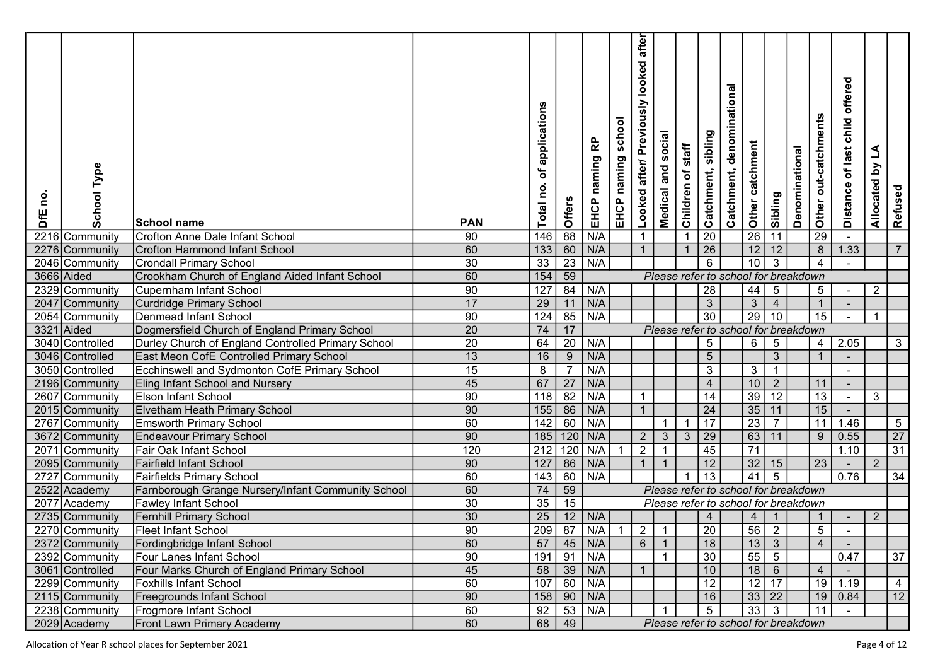| Type<br>School<br>0u<br>DfE  | <b>School name</b>                                      | <b>PAN</b>      | of applications<br>Total no. | Offers          | EHCP naming RP           | school<br>EHCP naming | after<br>Looked after/ Previously looked | social<br>Medical and | staff<br>Children of | sibling<br>Catchment,   | denominational<br>Catchment,                                                 | <b>Solther</b> catchment          | Sibling               | Denominational | Other out-catchments | offered<br>child<br>Distance of last | L<br>$\mathbf{\widetilde{c}}$<br>Allocated | Refused         |  |
|------------------------------|---------------------------------------------------------|-----------------|------------------------------|-----------------|--------------------------|-----------------------|------------------------------------------|-----------------------|----------------------|-------------------------|------------------------------------------------------------------------------|-----------------------------------|-----------------------|----------------|----------------------|--------------------------------------|--------------------------------------------|-----------------|--|
| 2216 Community               | Crofton Anne Dale Infant School                         | 90              | 146                          | $\overline{88}$ | N/A                      |                       | $\mathbf 1$                              |                       |                      | 20                      |                                                                              |                                   | 11                    |                | $\overline{29}$      |                                      |                                            |                 |  |
| 2276 Community               | Crofton Hammond Infant School                           | 60              | 133                          | 60              | N/A                      |                       | $\mathbf{1}$                             |                       |                      | $\overline{26}$         |                                                                              | $\overline{12}$                   | 12                    |                | 8                    | 1.33                                 |                                            | $\overline{7}$  |  |
| 2046 Community               | <b>Crondall Primary School</b>                          | $\overline{30}$ | 33                           | $\overline{23}$ | N/A                      |                       |                                          |                       |                      | $6\phantom{1}6$         |                                                                              | $\overline{10}$                   | $\overline{3}$        |                | $\overline{4}$       |                                      |                                            |                 |  |
| 3666 Aided                   | Crookham Church of England Aided Infant School          | 60              | 154                          | $\overline{59}$ |                          |                       |                                          |                       |                      |                         | Please refer to school for breakdown                                         |                                   |                       |                |                      |                                      |                                            |                 |  |
| 2329 Community               | <b>Cupernham Infant School</b>                          | 90              | $\overline{127}$             | 84              | N/A                      |                       |                                          |                       |                      | <u>28</u>               |                                                                              | 44                                | $\sqrt{5}$            |                | 5 <sub>5</sub>       |                                      | 2                                          |                 |  |
| 2047 Community               | <b>Curdridge Primary School</b>                         | 17              | 29                           | 11              | N/A                      |                       |                                          |                       |                      | $\overline{3}$          |                                                                              | $\overline{3}$                    | $\overline{4}$        |                | $\mathbf{1}$         |                                      |                                            |                 |  |
| 2054 Community               | Denmead Infant School                                   | 90              | 124                          | 85              | N/A                      |                       |                                          |                       |                      | $\overline{30}$         |                                                                              | $\overline{29}$                   | 10                    |                | $\overline{15}$      |                                      | 1                                          |                 |  |
| 3321<br>Aided                | Dogmersfield Church of England Primary School           | 20              | 74                           | 17              |                          |                       |                                          |                       |                      |                         | Please refer to school for breakdown                                         |                                   |                       |                |                      |                                      |                                            |                 |  |
| 3040 Controlled              | Durley Church of England Controlled Primary School      | 20              | 64                           | $\overline{20}$ | N/A                      |                       |                                          |                       |                      | $5\phantom{.0}$         |                                                                              | $6\overline{6}$                   | $\sqrt{5}$            |                | 4 <sup>1</sup>       | 2.05                                 |                                            | $\mathbf{3}$    |  |
| 3046 Controlled              | East Meon CofE Controlled Primary School                | 13              | $16\,$                       | $\overline{9}$  | N/A                      |                       |                                          |                       |                      | $5\phantom{.0}$         |                                                                              |                                   | $\mathbf{3}$          |                | $\overline{1}$       |                                      |                                            |                 |  |
| 3050 Controlled              | Ecchinswell and Sydmonton CofE Primary School           | 15              | 8                            | $\overline{7}$  | N/A                      |                       |                                          |                       |                      | $\mathbf{3}$            |                                                                              | $\mathbf{3}$                      | $\overline{1}$        |                |                      | $\sim$                               |                                            |                 |  |
| 2196 Community               | Eling Infant School and Nursery                         | 45              | 67                           | $\overline{27}$ | N/A                      |                       |                                          |                       |                      | $\overline{4}$          |                                                                              | 10                                | $\overline{2}$        |                | 11                   |                                      |                                            |                 |  |
| 2607 Community               | <b>Elson Infant School</b>                              | 90              | 118                          | $\overline{82}$ | N/A                      |                       | $\mathbf{1}$                             |                       |                      | 14                      |                                                                              | $\overline{39}$                   | $\overline{12}$       |                | 13                   |                                      | 3                                          |                 |  |
| 2015 Community               | <b>Elvetham Heath Primary School</b>                    | 90              | 155                          | 86              | N/A                      |                       | $\mathbf{1}$                             |                       |                      | 24                      |                                                                              | 35 11                             |                       |                | 15                   |                                      |                                            |                 |  |
| 2767 Community               | <b>Emsworth Primary School</b>                          | 60              | 142                          | 60              | N/A                      |                       |                                          |                       |                      | 17                      |                                                                              | $\overline{23}$                   | $\overline{7}$        |                | 11                   | $1.46$                               |                                            | $\overline{5}$  |  |
| 3672 Community               | <b>Endeavour Primary School</b>                         | 90              | 185                          | 120             | N/A                      |                       | $2^{\circ}$                              | $\mathbf{3}$          | 3                    | 29                      |                                                                              | $63   11$                         |                       |                | 9                    | 0.55                                 |                                            | $\overline{27}$ |  |
| 2071 Community               | Fair Oak Infant School                                  | 120             | 212                          | 120             | N/A                      |                       | $\overline{2}$                           |                       |                      | 45                      |                                                                              | $\overline{71}$                   |                       |                |                      | 1.10                                 |                                            | $\overline{31}$ |  |
| 2095 Community               | <b>Fairfield Infant School</b>                          | $90\,$          | $127$                        | 86              | N/A                      |                       | $\overline{1}$                           |                       |                      | 12<br>13                |                                                                              | 32<br>$\overline{41}$             | 15<br>$5\overline{)}$ |                | $\overline{23}$      | 0.76                                 |                                            |                 |  |
| 2727 Community               | <b>Fairfields Primary School</b>                        | 60<br>60        | 143                          | 60<br>59        | N/A                      |                       |                                          |                       |                      |                         |                                                                              |                                   |                       |                |                      |                                      |                                            | 34              |  |
| 2522 Academy<br>2077 Academy | Farnborough Grange Nursery/Infant Community School      | $30\,$          | 74<br>35                     | $\overline{15}$ |                          |                       |                                          |                       |                      |                         | Please refer to school for breakdown<br>Please refer to school for breakdown |                                   |                       |                |                      |                                      |                                            |                 |  |
| 2735 Community               | <b>Fawley Infant School</b>                             | 30              |                              | 12              | N/A                      |                       |                                          |                       |                      |                         |                                                                              |                                   |                       |                |                      |                                      |                                            |                 |  |
| 2270 Community               | <b>Fernhill Primary School</b>                          | 90              | 25<br>$\overline{209}$       | $\overline{87}$ | N/A                      | -1                    | $\overline{2}$                           |                       |                      | $\overline{4}$<br>20    |                                                                              | $\overline{4}$<br>$\overline{56}$ | $\overline{2}$        |                | $5\phantom{.0}$      |                                      | $\overline{2}$                             |                 |  |
|                              | <b>Fleet Infant School</b>                              |                 |                              |                 |                          |                       | 6                                        | $\overline{1}$        |                      |                         |                                                                              |                                   |                       |                |                      |                                      |                                            |                 |  |
| 2372 Community               | Fordingbridge Infant School<br>Four Lanes Infant School | 60              | 191                          | $\boxed{91}$    | $57$   45   N/A  <br>N/A |                       |                                          |                       |                      | $18$<br>$\overline{30}$ |                                                                              | $13 \mid 3$<br>$55 \mid 5$        |                       |                | $\overline{4}$       | 0.47                                 |                                            | $\overline{37}$ |  |
| 2392 Community               |                                                         | 90              |                              |                 |                          |                       | $\overline{1}$                           |                       |                      | 10                      |                                                                              |                                   |                       |                |                      |                                      |                                            |                 |  |
| 3061 Controlled              | Four Marks Church of England Primary School             | 45              |                              |                 | $58$ 39 N/A              |                       |                                          |                       |                      |                         |                                                                              | $18$ 6                            |                       |                | $\overline{4}$       | $19$ 1.19                            |                                            |                 |  |
| 2299 Community               | <b>Foxhills Infant School</b>                           | 60              |                              |                 | $107$ 60 N/A             |                       |                                          |                       |                      | 12                      |                                                                              | $12$ 17                           |                       |                |                      |                                      |                                            | $\overline{4}$  |  |
| 2115 Community               | Freegrounds Infant School                               | 90              | $158$ 90                     |                 | $\vert N/A \vert$        |                       |                                          |                       |                      | 16                      |                                                                              | $33   22$                         |                       |                | $\overline{11}$      | 19   0.84                            |                                            | 12              |  |
| 2238 Community               | <b>Frogmore Infant School</b>                           | 60              | 92                           |                 | $53$ N/A                 |                       |                                          |                       |                      | 5 <sup>5</sup>          |                                                                              | $33 \mid 3$                       |                       |                |                      |                                      |                                            |                 |  |
| 2029 Academy                 | <b>Front Lawn Primary Academy</b>                       | 60              |                              | $68 \mid 49$    |                          |                       |                                          |                       |                      |                         | Please refer to school for breakdown                                         |                                   |                       |                |                      |                                      |                                            |                 |  |

Allocation of Year R school places for September 2021 **Page 4 of 12**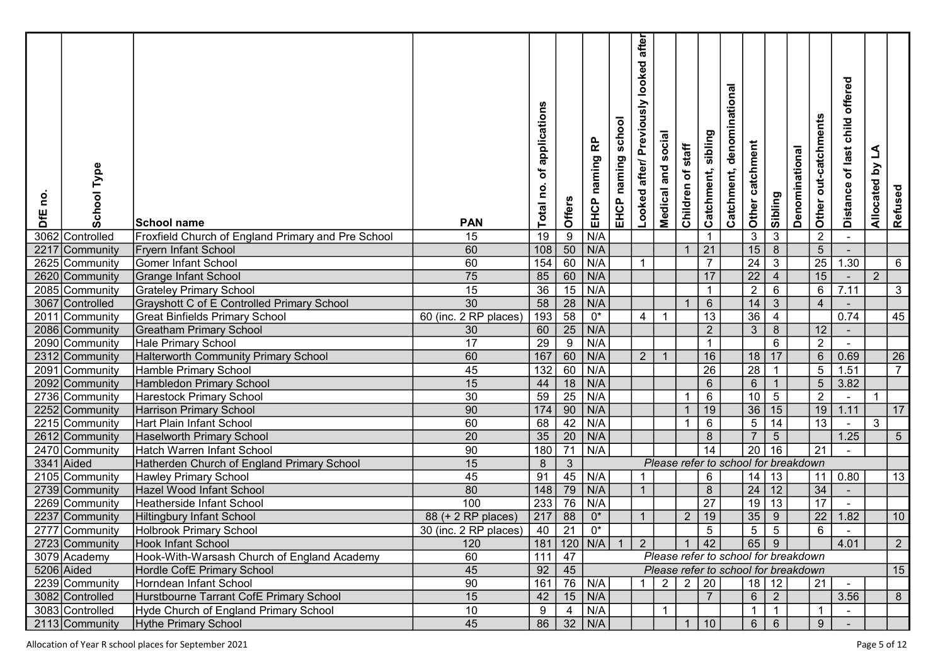| <b>School Type</b><br>0u<br>DfE | School name                                        | <b>PAN</b>            | of applications<br>Total no. | Offers          | EHCP naming RP | school<br>EHCP naming | after<br>looked<br>Looked after/ Previously | Medical and social | staff<br>Children of | sibling<br>Catchment, | denominational<br>Catchment,         | Other catchment | Sibling          | Denominational | Other out-catchments | offered<br>child<br>Distance of last | L<br>Allocated by | Refused         |  |
|---------------------------------|----------------------------------------------------|-----------------------|------------------------------|-----------------|----------------|-----------------------|---------------------------------------------|--------------------|----------------------|-----------------------|--------------------------------------|-----------------|------------------|----------------|----------------------|--------------------------------------|-------------------|-----------------|--|
| 3062<br>Controlled              | Froxfield Church of England Primary and Pre School | 15                    | 19                           | $\overline{9}$  | N/A            |                       |                                             |                    |                      | $\mathbf 1$           |                                      | $\overline{3}$  | $\mathbf{3}$     |                | $\overline{2}$       |                                      |                   |                 |  |
| 2217<br>Community               | <b>Fryern Infant School</b>                        | 60                    | $\frac{108}{ }$              | $\frac{50}{60}$ | N/A            |                       |                                             |                    |                      | 21                    |                                      | $\overline{15}$ | $\overline{8}$   |                | 5 <sup>5</sup>       |                                      |                   |                 |  |
| 2625 Community                  | <b>Gomer Infant School</b>                         | 60                    | 154                          |                 | N/A            |                       | $\mathbf{1}$                                |                    |                      | $\overline{7}$        |                                      | $\overline{24}$ | $\overline{3}$   |                | 25                   | 1.30                                 |                   | 6               |  |
| 2620 Community                  | <b>Grange Infant School</b>                        | $\overline{75}$       | 85                           | 60              | N/A            |                       |                                             |                    |                      | 17                    |                                      | $\overline{22}$ | $\overline{4}$   |                | 15                   |                                      | $\overline{2}$    |                 |  |
| 2085 Community                  | <b>Grateley Primary School</b>                     | 15                    | $\overline{36}$              | $\overline{15}$ | N/A            |                       |                                             |                    |                      | $\overline{1}$        |                                      | $\overline{2}$  | $\overline{6}$   |                | $6\overline{6}$      | 7.11                                 |                   | $\mathbf{3}$    |  |
| 3067 Controlled                 | <b>Grayshott C of E Controlled Primary School</b>  | 30                    | 58                           | $\overline{28}$ | N/A            |                       |                                             |                    |                      | $6\phantom{.}6$       |                                      | 14              | $\mathbf{3}$     |                | $\overline{4}$       |                                      |                   |                 |  |
| 2011<br>Community               | <b>Great Binfields Primary School</b>              | 60 (inc. 2 RP places) | 193                          | $\overline{58}$ | $0^*$          |                       | 4                                           |                    |                      | 13                    |                                      | $\overline{36}$ | $\overline{4}$   |                |                      | 0.74                                 |                   | 45              |  |
| 2086 Community                  | <b>Greatham Primary School</b>                     | 30                    | 60                           | $\overline{25}$ | N/A            |                       |                                             |                    |                      | $\overline{2}$        |                                      | $\overline{3}$  | $\overline{8}$   |                | 12 <sup>°</sup>      |                                      |                   |                 |  |
| 2090 Community                  | <b>Hale Primary School</b>                         | 17                    | 29                           | $\overline{9}$  | N/A            |                       |                                             |                    |                      | $\overline{1}$        |                                      |                 | $6\overline{6}$  |                | $\overline{2}$       |                                      |                   |                 |  |
| 2312 Community                  | <b>Halterworth Community Primary School</b>        | 60                    | 167                          | $\overline{60}$ | N/A            |                       | $2^{\circ}$                                 | -1                 |                      | 16                    |                                      | 18              | 17               |                | 6 <sup>1</sup>       | 0.69                                 |                   | 26              |  |
| 2091<br>Community               | Hamble Primary School                              | 45                    | $\overline{132}$             | 60              | N/A            |                       |                                             |                    |                      | $\overline{26}$       |                                      | $\overline{28}$ | $\overline{1}$   |                | $\sqrt{5}$           | 1.51                                 |                   | $\overline{7}$  |  |
| 2092 Community                  | Hambledon Primary School                           | 15                    | 44                           | 18              | N/A            |                       |                                             |                    |                      | $6\overline{6}$       |                                      | $\overline{6}$  | $\overline{1}$   |                | 5 <sup>7</sup>       | 3.82                                 |                   |                 |  |
| 2736 Community                  | Harestock Primary School                           | 30                    | 59                           | $\overline{25}$ | N/A            |                       |                                             |                    |                      | $6\phantom{1}6$       |                                      | 10              | $5\phantom{.0}$  |                | $\overline{2}$       | $\sim$                               | -1                |                 |  |
| 2252 Community                  | <b>Harrison Primary School</b>                     | 90                    | $\frac{174}{174}$            | $\overline{90}$ | N/A            |                       |                                             |                    |                      | 19                    |                                      | $\overline{36}$ | 15               |                | 19                   | 1.11                                 |                   | $\overline{17}$ |  |
| 2215 Community                  | Hart Plain Infant School                           | 60                    | 68                           | 42              | N/A            |                       |                                             |                    |                      | 6                     |                                      | $\overline{5}$  | 14               |                | 13                   | $\sim$                               | 3                 |                 |  |
| 2612 Community                  | <b>Haselworth Primary School</b>                   | 20                    | $35\,$                       | $\overline{20}$ | N/A            |                       |                                             |                    |                      | 8                     |                                      | $\overline{7}$  | $\sqrt{5}$       |                |                      | 1.25                                 |                   | $\sqrt{5}$      |  |
| 2470 Community                  | Hatch Warren Infant School                         | 90                    | 180                          | $\overline{71}$ | N/A            |                       |                                             |                    |                      | 14                    |                                      | $\overline{20}$ | 16               |                | 21                   |                                      |                   |                 |  |
| 3341 Aided                      | Hatherden Church of England Primary School         | 15                    | 8                            | $\sqrt{3}$      |                |                       |                                             |                    |                      |                       | Please refer to school for breakdown |                 |                  |                |                      |                                      |                   |                 |  |
| 2105 Community                  | Hawley Primary School                              | 45                    | 91                           | 45              | N/A            |                       |                                             |                    |                      | 6                     |                                      | 14              | 13               |                |                      | 11   0.80                            |                   | 13              |  |
| 2739 Community                  | Hazel Wood Infant School                           | $80\,$                | 148                          | $\overline{79}$ | N/A            |                       | $\overline{1}$                              |                    |                      | $\,8\,$               |                                      | $\boxed{24}$    | 12               |                | 34                   |                                      |                   |                 |  |
| 2269 Community                  | <b>Heatherside Infant School</b>                   | 100                   | $\overline{233}$             | 76              | N/A            |                       |                                             |                    |                      | $\overline{27}$       |                                      | $\overline{19}$ | $\overline{13}$  |                | $\overline{17}$      |                                      |                   |                 |  |
| 2237 Community                  | <b>Hiltingbury Infant School</b>                   | 88 (+ 2 RP places)    | 217                          | 88              | $0^\star$      |                       | $\overline{1}$                              |                    | $\overline{2}$       | 19                    |                                      | 35              | $\boldsymbol{9}$ |                | 22                   | 1.82                                 |                   | 10              |  |
| 2777 Community                  | <b>Holbrook Primary School</b>                     | 30 (inc. 2 RP places) | 40                           | 21              | $0^*$          |                       |                                             |                    |                      | $5\overline{)}$       |                                      | $5\phantom{.0}$ | $\overline{5}$   |                | 6                    |                                      |                   |                 |  |
| 2723 Community                  | Hook Infant School                                 | 120                   |                              |                 | 181 120 N/A 1  |                       | $2^{\circ}$                                 |                    | $\overline{1}$       | 42                    |                                      | 65 9            |                  |                |                      | 4.01                                 |                   | $2^{\circ}$     |  |
| 3079 Academy                    | Hook-With-Warsash Church of England Academy        | 60                    | $111$ 47                     |                 |                |                       |                                             |                    |                      |                       | Please refer to school for breakdown |                 |                  |                |                      |                                      |                   |                 |  |
| 5206 Aided                      | Hordle CofE Primary School                         | 45                    | $92 \mid 45$                 |                 |                |                       |                                             |                    |                      |                       | Please refer to school for breakdown |                 |                  |                |                      |                                      |                   | 15              |  |
| 2239 Community                  | Horndean Infant School                             | 90                    | 161                          |                 | 76 N/A         |                       | $\mathbf{1}$                                | $\overline{2}$     |                      | 2 20                  |                                      | $18 \mid 12$    |                  |                | $\overline{21}$      |                                      |                   |                 |  |
| 3082 Controlled                 | Hurstbourne Tarrant CofE Primary School            | 15                    | 42                           | 15              | N/A            |                       |                                             |                    |                      | $\overline{7}$        |                                      | 6               | $\overline{2}$   |                |                      | 3.56                                 |                   | 8               |  |
| 3083 Controlled                 | Hyde Church of England Primary School              | 10                    | 9                            | $\overline{4}$  | N/A            |                       |                                             |                    |                      |                       |                                      | $\mathbf{1}$    | $\mathbf{1}$     |                | $\overline{1}$       |                                      |                   |                 |  |
| 2113 Community                  | Hythe Primary School                               | 45                    |                              |                 | 86 32 N/A      |                       |                                             |                    |                      | $\vert$ 10            |                                      | $6 \mid 6$      |                  |                | 9 <sup>°</sup>       |                                      |                   |                 |  |

Allocation of Year R school places for September 2021 **Page 5 of 12**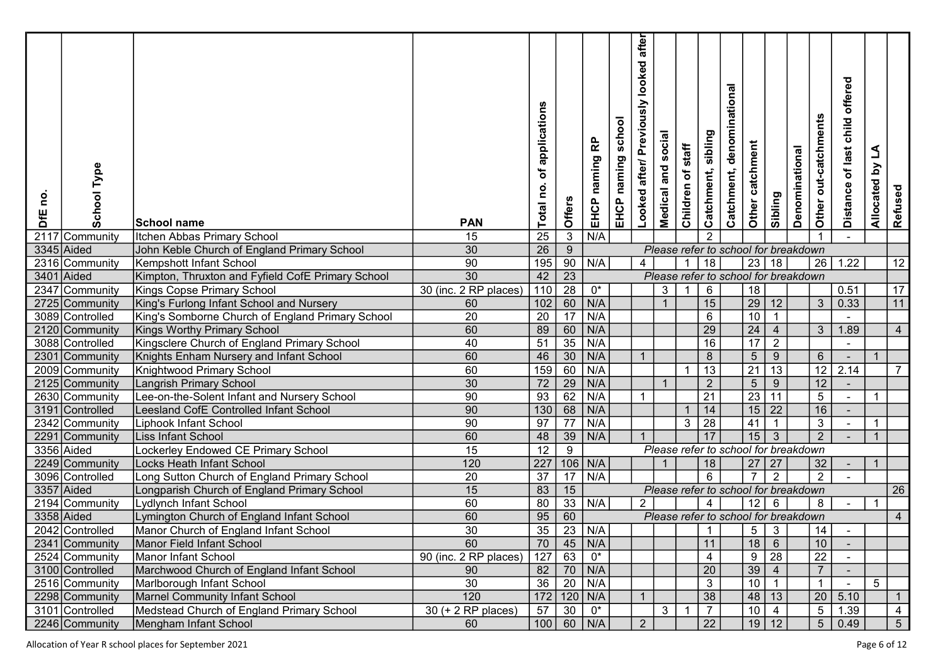| Type<br>School<br><u>o</u><br>DfE | School name                                                                                  | <b>PAN</b>            | of applications<br>Total no. | Offers                             | 윤<br>naming<br>EHCP    | school<br>naming<br>EHCP | after<br>looked<br>Looked after/ Previously | social<br>and<br>Medical | staff<br>Children of | sibling<br>Catchment, | denominational<br>Catchment,         | Other catchment         | Sibling         | Denominational | Other out-catchments | offered<br>child<br>Distance of last | L<br>$\mathbf{\Sigma}$<br>Allocated | Refused        |  |
|-----------------------------------|----------------------------------------------------------------------------------------------|-----------------------|------------------------------|------------------------------------|------------------------|--------------------------|---------------------------------------------|--------------------------|----------------------|-----------------------|--------------------------------------|-------------------------|-----------------|----------------|----------------------|--------------------------------------|-------------------------------------|----------------|--|
| 2117<br>Community                 | Itchen Abbas Primary School                                                                  | 15                    | 25                           | $\mathbf{3}$                       | N/A                    |                          |                                             |                          |                      | $\overline{2}$        |                                      |                         |                 |                |                      |                                      |                                     |                |  |
| 3345 Aided                        | John Keble Church of England Primary School                                                  | 30                    | 26                           | 9                                  |                        |                          |                                             |                          |                      |                       | Please refer to school for breakdown |                         |                 |                |                      |                                      |                                     |                |  |
| 2316 Community                    | Kempshott Infant School                                                                      | 90<br>$\overline{30}$ | 195                          | 90                                 | N/A                    |                          | $\overline{4}$                              |                          |                      | 18                    |                                      | 23 18                   |                 |                | 26                   | 1.22                                 |                                     | 12             |  |
| 3401<br>Aided                     | Kimpton, Thruxton and Fyfield CofE Primary School                                            |                       | 42<br>$\overline{110}$       | $\overline{23}$<br>$\overline{28}$ |                        |                          |                                             |                          |                      |                       | Please refer to school for breakdown |                         |                 |                |                      |                                      |                                     |                |  |
| 2347 Community<br>2725 Community  | <b>Kings Copse Primary School</b>                                                            | 30 (inc. 2 RP places) | 102                          | 60                                 | $0^*$<br>N/A           |                          |                                             | $\mathbf{3}$             |                      | $\,6\,$<br>15         |                                      | <u>18</u><br>29         | 12              |                | 3                    | 0.51<br>0.33                         |                                     | 17<br>11       |  |
| 3089 Controlled                   | King's Furlong Infant School and Nursery<br>King's Somborne Church of England Primary School | 60<br>20              | 20                           | 17                                 | N/A                    |                          |                                             |                          |                      | 6                     |                                      | 10                      | $\overline{1}$  |                |                      |                                      |                                     |                |  |
| 2120 Community                    | <b>Kings Worthy Primary School</b>                                                           | 60                    | 89                           | 60                                 | N/A                    |                          |                                             |                          |                      | $\overline{29}$       |                                      | $\overline{24}$         | $\overline{4}$  |                | 3 <sup>1</sup>       | 1.89                                 |                                     | $\overline{4}$ |  |
| 3088 Controlled                   | Kingsclere Church of England Primary School                                                  | 40                    | 51                           | 35                                 | N/A                    |                          |                                             |                          |                      | 16                    |                                      | $\overline{17}$         | $\overline{2}$  |                |                      |                                      |                                     |                |  |
| 2301<br>Community                 | Knights Enham Nursery and Infant School                                                      | 60                    | 46                           | 30                                 | N/A                    |                          | $\overline{1}$                              |                          |                      | 8                     |                                      | $\overline{5}$          | $9\,$           |                | $6\overline{6}$      |                                      |                                     |                |  |
| 2009 Community                    | Knightwood Primary School                                                                    | 60                    | 159                          | 60                                 | N/A                    |                          |                                             |                          |                      | 13                    |                                      | $\overline{21}$         | $\overline{13}$ |                | 12                   | 2.14                                 |                                     | $\overline{7}$ |  |
| 2125 Community                    | <b>Langrish Primary School</b>                                                               | 30                    | 72                           | $\overline{29}$                    | N/A                    |                          |                                             |                          |                      | $\overline{2}$        |                                      | $5\overline{)}$         | 9               |                | 12 <sup>°</sup>      |                                      |                                     |                |  |
| 2630 Community                    | Lee-on-the-Solent Infant and Nursery School                                                  | 90                    | 93                           | 62                                 | N/A                    |                          | -1                                          |                          |                      | 21                    |                                      | $\overline{23}$         | $\overline{11}$ |                | $\overline{5}$       | $\sim$                               | -1                                  |                |  |
| 3191<br>Controlled                | Leesland CofE Controlled Infant School                                                       | 90                    | 130                          | 68                                 | N/A                    |                          |                                             |                          |                      | 14                    |                                      | 15                      | $\overline{22}$ |                | 16                   |                                      |                                     |                |  |
| 2342 Community                    | <b>Liphook Infant School</b>                                                                 | 90                    | 97                           | 77                                 | N/A                    |                          |                                             |                          | 3                    | 28                    |                                      | 41                      |                 |                | $\mathbf{3}$         |                                      | -1                                  |                |  |
| 2291<br>Community                 | Liss Infant School                                                                           | 60                    | 48                           | 39                                 | N/A                    |                          |                                             |                          |                      | 17                    |                                      | 15                      | $\mathbf{3}$    |                | 2                    |                                      | $\mathbf{1}$                        |                |  |
| 3356 Aided                        | Lockerley Endowed CE Primary School                                                          | 15                    | 12                           | $\overline{9}$                     |                        |                          |                                             |                          |                      |                       | Please refer to school for breakdown |                         |                 |                |                      |                                      |                                     |                |  |
| 2249 Community                    | Locks Heath Infant School                                                                    | 120                   | 227                          | $106$                              | N/A                    |                          |                                             |                          |                      | 18                    |                                      | $27 \mid 27$            |                 |                | 32                   |                                      | -1                                  |                |  |
| 3096 Controlled                   | Long Sutton Church of England Primary School                                                 | 20                    | 37                           | 17                                 | N/A                    |                          |                                             |                          |                      | $\overline{6}$        |                                      | $\overline{7}$          | $\overline{2}$  |                | $\overline{2}$       |                                      |                                     |                |  |
| 3357 Aided                        | Longparish Church of England Primary School                                                  | 15                    | 83                           | 15                                 |                        |                          |                                             |                          |                      |                       | Please refer to school for breakdown |                         |                 |                |                      |                                      |                                     | 26             |  |
| 2194 Community                    | Lydlynch Infant School                                                                       | 60                    | 80                           | 33                                 | N/A                    |                          | $\overline{2}$                              |                          |                      | $\overline{4}$        |                                      | 12                      | 6               |                | 8                    |                                      |                                     |                |  |
| 3358 Aided                        | Lymington Church of England Infant School                                                    | 60                    | 95                           | 60                                 |                        |                          |                                             |                          |                      |                       | Please refer to school for breakdown |                         |                 |                |                      |                                      |                                     | $\overline{4}$ |  |
| 2042 Controlled                   | Manor Church of England Infant School                                                        | 30                    | 35                           | $\overline{23}$                    | N/A                    |                          |                                             |                          |                      | -1                    |                                      | $5\overline{)}$         | 3               |                | 14                   |                                      |                                     |                |  |
| 2341 Community                    | Manor Field Infant School                                                                    | 60                    |                              |                                    | $70$ 45 N/A            |                          |                                             |                          |                      | 11                    |                                      | 18                      | $6\phantom{.}6$ |                | 10                   |                                      |                                     |                |  |
| 2524 Community                    | Manor Infant School                                                                          | 90 (inc. 2 RP places) | 127                          | 63                                 | $0^*$                  |                          |                                             |                          |                      | 4                     |                                      | $\overline{\mathsf{g}}$ | $\overline{28}$ |                | $\overline{22}$      |                                      |                                     |                |  |
| 3100 Controlled                   | Marchwood Church of England Infant School                                                    | 90                    |                              |                                    | 82 70 N/A<br>36 20 N/A |                          |                                             |                          |                      | $20\,$                |                                      | 39                      | $\overline{4}$  |                | 7 <sup>7</sup>       |                                      |                                     |                |  |
| 2516 Community                    | Marlborough Infant School                                                                    | 30                    |                              |                                    |                        |                          |                                             |                          |                      | $\overline{3}$        |                                      | 10                      | $\overline{1}$  |                | $\mathbf{1}$         |                                      | $5\overline{)}$                     |                |  |
| 2298 Community                    | Marnel Community Infant School                                                               | 120                   |                              |                                    | 172 120 N/A            |                          | $\overline{1}$                              |                          |                      | 38                    |                                      | 48 13                   |                 |                |                      | 20   5.10                            |                                     |                |  |
| 3101 Controlled                   | Medstead Church of England Primary School                                                    | $30 (+ 2 RP places)$  | $57 \mid 30 \mid$            |                                    | $0^*$                  |                          |                                             | 3 <sup>1</sup>           |                      | $\overline{7}$        |                                      | $10 \mid 4$             |                 |                |                      | $5 \mid 1.39$                        |                                     | $\overline{4}$ |  |
| 2246 Community                    | Mengham Infant School                                                                        | 60                    |                              |                                    | $100$ 60 N/A           |                          | $2^{\circ}$                                 |                          |                      | 22                    |                                      | 19 12                   |                 |                |                      | 5   0.49                             |                                     | 5 <sub>5</sub> |  |

Allocation of Year R school places for September 2021 **Page 6 of 12**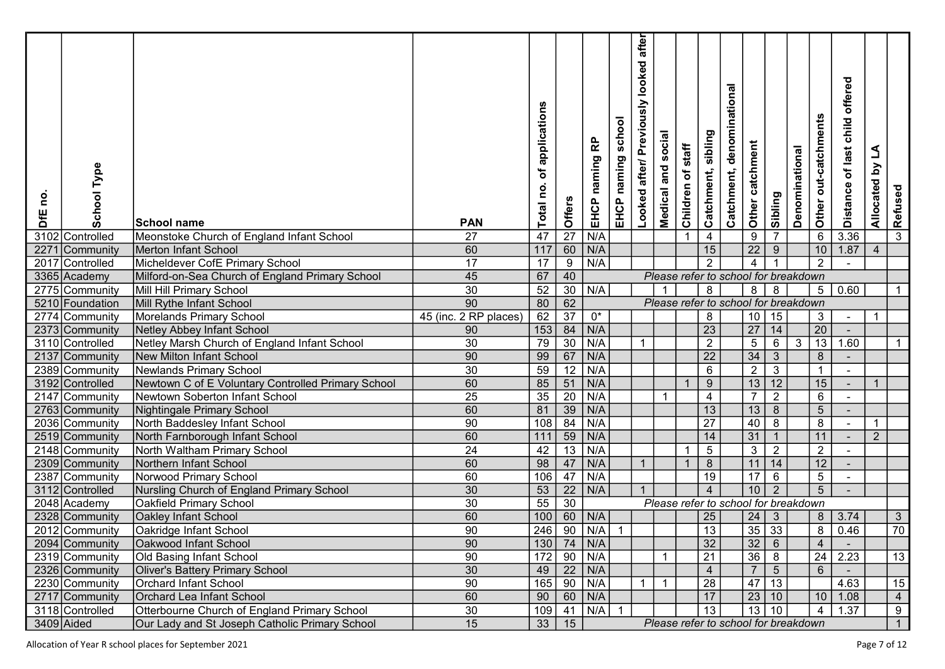| Type<br>School<br><u>o</u><br>DfE | School name                                        | <b>PAN</b>            | of applications<br>Total no. | Offers          | EHCP naming RP                | school<br>EHCP naming | after<br>looked<br>Looked after/ Previously | social<br>Medical and | staff<br>Children of | sibling<br>Catchment, | denominational<br>Catchment,         | Other catchment                                                   | Sibling          | Denominational | Other out-catchments | offered<br>child<br>Distance of last | L<br>Allocated by | Refused         |  |
|-----------------------------------|----------------------------------------------------|-----------------------|------------------------------|-----------------|-------------------------------|-----------------------|---------------------------------------------|-----------------------|----------------------|-----------------------|--------------------------------------|-------------------------------------------------------------------|------------------|----------------|----------------------|--------------------------------------|-------------------|-----------------|--|
| 3102 Controlled                   | Meonstoke Church of England Infant School          | 27                    | 47                           | $\overline{27}$ | N/A                           |                       |                                             |                       |                      | 4                     |                                      | $\boldsymbol{9}$                                                  | $\overline{7}$   |                | $\,6\,$              | 3.36                                 |                   | $\overline{3}$  |  |
| 2271<br>Community                 | Merton Infant School                               | 60                    | $\overline{117}$             | 60              | N/A                           |                       |                                             |                       |                      | 15                    |                                      | $\overline{22}$                                                   | $\boldsymbol{9}$ |                | 10                   | 1.87                                 | $\overline{4}$    |                 |  |
| 2017<br>Controlled                | Micheldever CofE Primary School                    | 17                    | 17                           | $\overline{9}$  | N/A                           |                       |                                             |                       |                      | $\overline{2}$        |                                      | $\overline{4}$                                                    |                  |                | 2                    |                                      |                   |                 |  |
| 3365 Academy                      | Milford-on-Sea Church of England Primary School    | 45                    | 67                           | 40              |                               |                       |                                             |                       |                      |                       | Please refer to school for breakdown |                                                                   |                  |                |                      |                                      |                   |                 |  |
| 2775 Community                    | Mill Hill Primary School                           | $\overline{30}$       | 52                           | $\overline{30}$ | N/A                           |                       |                                             |                       |                      | 8                     |                                      | 8 <sup>1</sup>                                                    | 8                |                |                      | 5   0.60                             |                   | -1              |  |
| 5210 Foundation                   | Mill Rythe Infant School                           | 90                    | 80                           | 62              |                               |                       |                                             |                       |                      |                       | Please refer to school for breakdown |                                                                   |                  |                |                      |                                      |                   |                 |  |
| 2774 Community                    | Morelands Primary School                           | 45 (inc. 2 RP places) | $\overline{62}$              | $\overline{37}$ | $0^*$                         |                       |                                             |                       |                      | 8                     |                                      | 10                                                                | 15               |                | 3 <sup>1</sup>       | $\overline{\phantom{a}}$             | -1                |                 |  |
| 2373 Community                    | <b>Netley Abbey Infant School</b>                  | 90                    | $\overline{153}$             | $\overline{84}$ | N/A                           |                       |                                             |                       |                      | $\overline{23}$       |                                      | $\overline{27}$                                                   | 14               |                | $\overline{20}$      |                                      |                   |                 |  |
| 3110 Controlled                   | Netley Marsh Church of England Infant School       | 30                    | 79                           | $\overline{30}$ | N/A                           |                       | $\mathbf{1}$                                |                       |                      | $\overline{2}$        |                                      | $\overline{5}$                                                    | 6                | $\sqrt{3}$     | 13                   | 1.60                                 |                   |                 |  |
| 2137 Community                    | <b>New Milton Infant School</b>                    | 90                    | 99                           | 67              | N/A                           |                       |                                             |                       |                      | $\overline{22}$       |                                      | 34                                                                | $\mathbf{3}$     |                | 8                    |                                      |                   |                 |  |
| 2389 Community                    | <b>Newlands Primary School</b>                     | 30                    | 59                           | $\overline{12}$ | N/A                           |                       |                                             |                       |                      | 6                     |                                      | $\overline{2}$                                                    | $\overline{3}$   |                | $\overline{1}$       |                                      |                   |                 |  |
| 3192 Controlled                   | Newtown C of E Voluntary Controlled Primary School | 60                    | 85                           | 51              | N/A                           |                       |                                             |                       |                      | 9                     |                                      | 13                                                                | 12               |                | 15                   |                                      | -1                |                 |  |
| 2147 Community                    | Newtown Soberton Infant School                     | 25                    | 35                           | 20              | N/A                           |                       |                                             |                       |                      | 4                     |                                      | $\overline{7}$                                                    | $\overline{2}$   |                | 6                    | $\sim$                               |                   |                 |  |
| 2763 Community                    | Nightingale Primary School                         | 60                    | 81                           | $\overline{39}$ | N/A                           |                       |                                             |                       |                      | 13                    |                                      | $\overline{13}$                                                   | $\overline{8}$   |                | 5 <sup>5</sup>       |                                      |                   |                 |  |
| 2036 Community                    | North Baddesley Infant School                      | 90                    | 108                          | $\overline{84}$ | N/A                           |                       |                                             |                       |                      | 27                    |                                      | 40                                                                | $\overline{8}$   |                | 8                    |                                      | -1                |                 |  |
| 2519 Community                    | North Farnborough Infant School                    | 60                    | 111                          | 59              | N/A                           |                       |                                             |                       |                      | 14                    |                                      | 31                                                                | $\overline{1}$   |                | 11                   |                                      | $\overline{2}$    |                 |  |
| 2148 Community                    | North Waltham Primary School                       | 24                    | 42                           | $\overline{13}$ | N/A                           |                       |                                             |                       |                      | $\sqrt{5}$            |                                      | $\sqrt{3}$                                                        | $\overline{2}$   |                | $\overline{2}$       |                                      |                   |                 |  |
| 2309 Community                    | Northern Infant School                             | 60                    | 98                           | 47              | N/A                           |                       | $\mathbf{1}$                                |                       |                      | $\boldsymbol{8}$      |                                      | 11                                                                | 14               |                | 12 <sup>°</sup>      |                                      |                   |                 |  |
| 2387 Community                    | Norwood Primary School                             | 60                    | 106                          | 47              | N/A                           |                       |                                             |                       |                      | 19                    |                                      | 17                                                                | $6\phantom{a}$   |                | $\overline{5}$       | $\blacksquare$                       |                   |                 |  |
| 3112 Controlled                   | Nursling Church of England Primary School          | $\overline{30}$       | 53                           | $\overline{22}$ | N/A                           |                       | $\mathbf{1}$                                |                       |                      | $\overline{4}$        |                                      | 10                                                                | $\overline{2}$   |                | $\overline{5}$       |                                      |                   |                 |  |
| 2048 Academy                      | <b>Oakfield Primary School</b>                     | $\overline{30}$       | 55                           | $\overline{30}$ |                               |                       |                                             |                       |                      |                       | Please refer to school for breakdown |                                                                   |                  |                |                      |                                      |                   |                 |  |
| 2328 Community                    | <b>Oakley Infant School</b>                        | 60                    | 100                          | 60              | N/A                           |                       |                                             |                       |                      | 25                    |                                      | 24                                                                | $\mathfrak{S}$   |                | 8 <sup>1</sup>       | 3.74                                 |                   | $\mathbf{3}$    |  |
| 2012 Community                    | Oakridge Infant School                             | 90                    | 246                          | 90              | N/A                           | -1                    |                                             |                       |                      | 13                    |                                      | $\overline{35}$                                                   | 33               |                | 8                    | 0.46                                 |                   | $\overline{70}$ |  |
| 2094 Community                    | Oakwood Infant School                              | 90                    |                              |                 | $130$ 74 N/A                  |                       |                                             |                       |                      | 32                    |                                      | $\begin{array}{ c c }\n \hline\n 32 \\ \hline\n 36\n \end{array}$ | $6\phantom{.}6$  |                | $\overline{4}$       |                                      |                   |                 |  |
| 2319 Community                    | Old Basing Infant School                           | 90 <sup>°</sup>       | $172$ 90                     |                 | N/A                           |                       |                                             |                       |                      | 21                    |                                      |                                                                   | $\overline{8}$   |                |                      | $24 \mid 2.23$                       |                   | $\overline{13}$ |  |
| 2326 Community                    | Oliver's Battery Primary School                    | 30                    | 49                           |                 | $\vert$ 22 $\vert$ N/A        |                       |                                             |                       |                      | $\overline{4}$        |                                      | $\overline{7}$                                                    | $5\overline{)}$  |                | 6 <sup>1</sup>       |                                      |                   |                 |  |
| 2230 Community                    | <b>Orchard Infant School</b>                       | 90                    |                              | $165$ 90        | N/A                           |                       | $\overline{1}$                              |                       |                      | 28                    |                                      | 47 13                                                             |                  |                |                      | 4.63                                 |                   | 15              |  |
| 2717 Community                    | Orchard Lea Infant School                          | 60                    | 90                           | $\boxed{60}$    | $\overline{\big \text{ N/A}}$ |                       |                                             |                       |                      | 17                    |                                      | $\vert$ 23 $\vert$ 10 $\vert$                                     |                  |                |                      | 10 1.08                              |                   | $\overline{4}$  |  |
| 3118 Controlled                   | Otterbourne Church of England Primary School       | 30                    |                              |                 | $109$ 41 N/A 1                |                       |                                             |                       |                      | 13                    |                                      |                                                                   |                  |                | 4 <sup>1</sup>       | 1.37                                 |                   | 9               |  |
| 3409 Aided                        | Our Lady and St Joseph Catholic Primary School     | 15                    |                              | $33 \mid 15$    |                               |                       |                                             |                       |                      |                       | Please refer to school for breakdown |                                                                   |                  |                |                      |                                      |                   | $\mathbf{1}$    |  |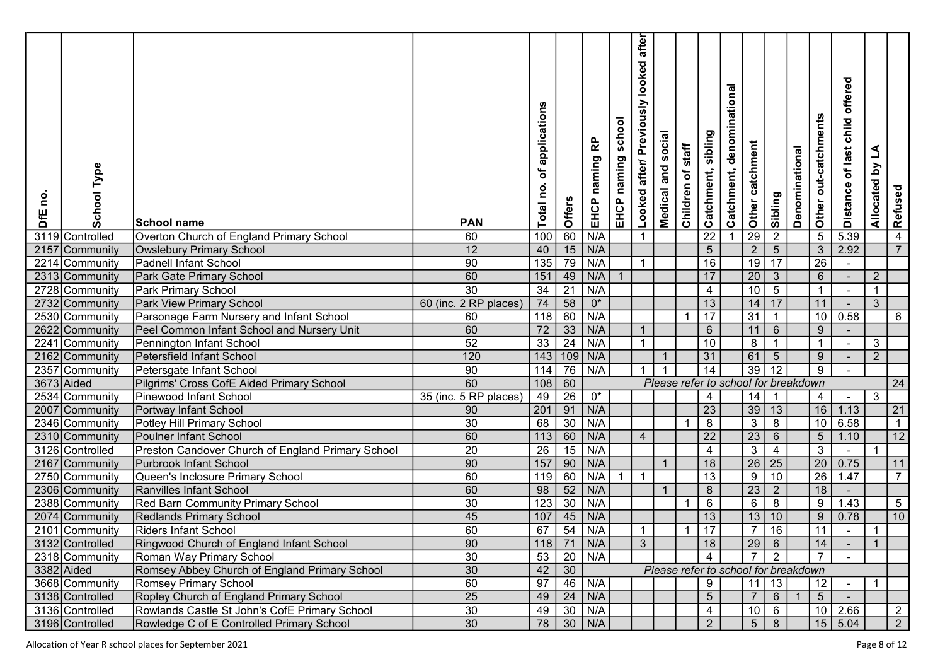| <b>School Type</b><br>0u<br>DfE | School name                                       | <b>PAN</b>            | of applications<br>Total no. | Offers          | EHCP naming RP | school<br>EHCP naming | after<br>looked<br>Looked after/ Previously | social<br>Medical and | staff<br>Children of | sibling<br>Catchment, | denominational<br>Catchment,         | Other catchment | Sibling         | Denominational | Other out-catchments | offered<br>child<br>Distance of last | L<br>Allocated by | Refused        |  |
|---------------------------------|---------------------------------------------------|-----------------------|------------------------------|-----------------|----------------|-----------------------|---------------------------------------------|-----------------------|----------------------|-----------------------|--------------------------------------|-----------------|-----------------|----------------|----------------------|--------------------------------------|-------------------|----------------|--|
| 3119 Controlled                 | Overton Church of England Primary School          | 60                    | 100                          | 60              | N/A            |                       | $\mathbf{1}$                                |                       |                      | $\overline{22}$       |                                      | 29              | $\overline{2}$  |                | $\overline{5}$       | 5.39                                 |                   | 4              |  |
| 2157 Community                  | <b>Owslebury Primary School</b>                   | 12                    | 40                           |                 | N/A            |                       |                                             |                       |                      | $\overline{5}$        |                                      | $\overline{2}$  | $\overline{5}$  |                | 3 <sup>7</sup>       | 2.92                                 |                   | $\overline{7}$ |  |
| 2214 Community                  | <b>Padnell Infant School</b>                      | 90                    | 135                          | $\frac{15}{79}$ | N/A            |                       | $\mathbf{1}$                                |                       |                      | 16                    |                                      | 19              | 17              |                | $\overline{26}$      |                                      |                   |                |  |
| 2313 Community                  | Park Gate Primary School                          | 60                    | $\overline{151}$             | $\overline{49}$ | N/A            |                       |                                             |                       |                      | 17                    |                                      | $\overline{20}$ | $\overline{3}$  |                | 6                    |                                      | $\overline{2}$    |                |  |
| 2728 Community                  | Park Primary School                               | $\overline{30}$       | 34                           | $\overline{21}$ | N/A            |                       |                                             |                       |                      | $\overline{4}$        |                                      | $\overline{10}$ | $\overline{5}$  |                | $\mathbf{1}$         |                                      | $\mathbf{1}$      |                |  |
| 2732 Community                  | Park View Primary School                          | 60 (inc. 2 RP places) | 74                           | 58              | $0^*$          |                       |                                             |                       |                      | 13                    |                                      | 14              | 17              |                | 11                   |                                      | 3 <sup>1</sup>    |                |  |
| 2530 Community                  | Parsonage Farm Nursery and Infant School          | 60                    | 118                          | $\overline{60}$ | N/A            |                       |                                             |                       |                      | 17                    |                                      | $\overline{31}$ | $\overline{1}$  |                | 10                   | 0.58                                 |                   | 6              |  |
| 2622 Community                  | Peel Common Infant School and Nursery Unit        | 60                    | $\overline{72}$              | $\overline{33}$ | N/A            |                       | $\overline{1}$                              |                       |                      | $6\phantom{1}6$       |                                      | 11              | $\,6\,$         |                | 9                    |                                      |                   |                |  |
| 2241<br>Community               | Pennington Infant School                          | 52                    | 33                           | $\overline{24}$ | N/A            |                       | $\mathbf{1}$                                |                       |                      | 10                    |                                      | $\, 8$          | $\overline{1}$  |                | $\overline{1}$       |                                      | 3                 |                |  |
| 2162 Community                  | Petersfield Infant School                         | 120                   | 143                          | 109             | N/A            |                       |                                             |                       |                      | 31                    |                                      | 61              | $5\phantom{.0}$ |                | 9                    |                                      | $\overline{2}$    |                |  |
| 2357<br>Community               | Petersgate Infant School                          | 90                    | 114                          | $\overline{76}$ | N/A            |                       |                                             |                       |                      | 14                    |                                      | $\overline{39}$ | $\overline{12}$ |                | 9                    |                                      |                   |                |  |
| 3673 Aided                      | Pilgrims' Cross CofE Aided Primary School         | 60                    | 108                          | 60              |                |                       |                                             |                       |                      |                       | Please refer to school for breakdown |                 |                 |                |                      |                                      |                   | 24             |  |
| 2534 Community                  | Pinewood Infant School                            | 35 (inc. 5 RP places) | 49                           | $\overline{26}$ | $0^*$          |                       |                                             |                       |                      | 4                     |                                      | 14              |                 |                | 4                    | $\sim$                               | 3                 |                |  |
| 2007<br> Community              | Portway Infant School                             | 90                    | 201                          | 91              | N/A            |                       |                                             |                       |                      | $\overline{23}$       |                                      | 39              | 13              |                | 16                   | 1.13                                 |                   | 21             |  |
| 2346 Community                  | Potley Hill Primary School                        | 30                    | 68                           | $\overline{30}$ | N/A            |                       |                                             |                       |                      | $\overline{8}$        |                                      | $\overline{3}$  | $\overline{8}$  |                | 10                   | 6.58                                 |                   | $\overline{1}$ |  |
| 2310 Community                  | <b>Poulner Infant School</b>                      | 60                    | 113                          | 60              | N/A            |                       | $\overline{4}$                              |                       |                      | 22                    |                                      | $\overline{23}$ | $\,6\,$         |                | 5 <sub>5</sub>       | 1.10                                 |                   | 12             |  |
| 3126 Controlled                 | Preston Candover Church of England Primary School | 20                    | 26                           | 15              | N/A            |                       |                                             |                       |                      | $\overline{4}$        |                                      | $\overline{3}$  | $\overline{4}$  |                | 3                    | $\sim$                               |                   |                |  |
| 2167 Community                  | <b>Purbrook Infant School</b>                     | 90                    | 157                          | 90              | N/A            |                       |                                             |                       |                      | 18                    |                                      | $\overline{26}$ | 25              |                | 20                   | 0.75                                 |                   | 11             |  |
| 2750 Community                  | Queen's Inclosure Primary School                  | 60                    | 119                          | 60              | N/A            | 1                     | $\overline{1}$                              |                       |                      | $\overline{13}$       |                                      | $\overline{9}$  | $\overline{10}$ |                | 26                   | 1.47                                 |                   | $\overline{7}$ |  |
| 2306 Community                  | Ranvilles Infant School                           | 60                    | 98                           | 52              | N/A            |                       |                                             |                       |                      | $\boldsymbol{8}$      |                                      | $\overline{23}$ | $2^{\circ}$     |                | 18                   |                                      |                   |                |  |
| 2388 Community                  | Red Barn Community Primary School                 | $\overline{30}$       | 123                          | $\overline{30}$ | N/A            |                       |                                             |                       |                      | $\,6\,$               |                                      | $\overline{6}$  | $\overline{8}$  |                | 9                    | 1.43                                 |                   | $\overline{5}$ |  |
| 2074 Community                  | <b>Redlands Primary School</b>                    | 45                    | 107                          | 45              | N/A            |                       |                                             |                       |                      | 13                    |                                      | 13              | $10$            |                | $9\,$                | 0.78                                 |                   | 10             |  |
| 2101 Community                  | Riders Infant School                              | 60                    | 67                           | 54              | N/A            |                       | $\overline{1}$                              |                       |                      | 17                    |                                      | $\overline{7}$  | 16              |                | 11                   |                                      |                   |                |  |
| 3132 Controlled                 | Ringwood Church of England Infant School          | 90                    |                              |                 | 118 71 N/A     |                       | $\mathbf{3}$                                |                       |                      | 18                    |                                      | 29              | $6\overline{6}$ |                | 14                   |                                      | $\overline{1}$    |                |  |
| 2318 Community                  | Roman Way Primary School                          | 30 <sup>2</sup>       | 53                           | $\overline{20}$ | N/A            |                       |                                             |                       |                      | $\overline{4}$        |                                      |                 | $\overline{2}$  |                |                      |                                      |                   |                |  |
| 3382 Aided                      | Romsey Abbey Church of England Primary School     | 30                    | 42                           | 30              |                |                       |                                             |                       |                      |                       | Please refer to school for breakdown |                 |                 |                |                      |                                      |                   |                |  |
| 3668 Community                  | <b>Romsey Primary School</b>                      | 60                    | 97                           |                 | 46 N/A         |                       |                                             |                       |                      | 9                     |                                      | $11$   13       |                 |                | 12                   | $\sim$                               | $\overline{1}$    |                |  |
| 3138 Controlled                 | Ropley Church of England Primary School           | 25                    | 49                           | 24              | N/A            |                       |                                             |                       |                      | $5\overline{)}$       |                                      | $\overline{7}$  | 6 <sup>1</sup>  |                | 5 <sup>7</sup>       |                                      |                   |                |  |
| 3136 Controlled                 | Rowlands Castle St John's CofE Primary School     | 30                    | 49                           |                 | $30$ N/A       |                       |                                             |                       |                      | $\overline{4}$        |                                      | $10 \mid 6$     |                 |                |                      | $10 \mid 2.66$                       |                   | $\overline{2}$ |  |
| 3196 Controlled                 | Rowledge C of E Controlled Primary School         | $\overline{30}$       |                              |                 | 78 30 N/A      |                       |                                             |                       |                      | $2^{\circ}$           |                                      | 5 <sup>1</sup>  | 8               |                |                      | 15   5.04                            |                   | $2^{\circ}$    |  |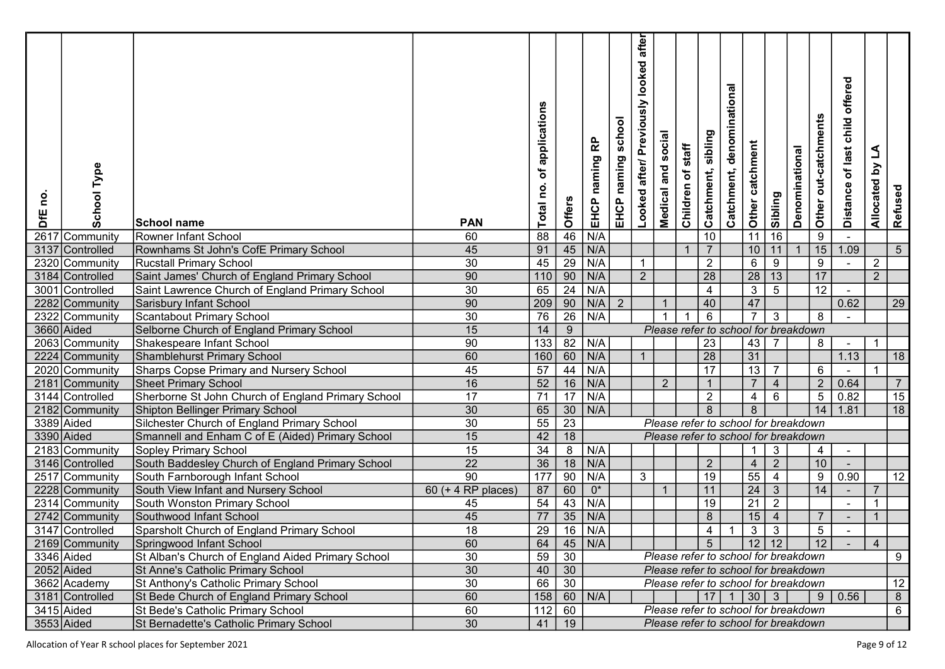| <u>o</u><br><b>SFE</b> | Type<br>School                    | <b>School name</b>                                                    | <b>PAN</b>         | applications<br>đ<br>Total no. | Offers          | 윤<br>naming<br>EHCP | school<br>naming<br>EHCP | after<br>looked<br>Looked after/ Previously | Medical and social | staff<br>Children of | sibling<br>Catchment, | denominational<br>Catchment,         | Other catchment    | Sibling                        | Denominational | Other out-catchments | offered<br>child<br>of last<br><b>Distance</b> | L<br>$\mathbf{\Sigma}$<br>Allocated | Refused         |  |
|------------------------|-----------------------------------|-----------------------------------------------------------------------|--------------------|--------------------------------|-----------------|---------------------|--------------------------|---------------------------------------------|--------------------|----------------------|-----------------------|--------------------------------------|--------------------|--------------------------------|----------------|----------------------|------------------------------------------------|-------------------------------------|-----------------|--|
| 2617                   | Community                         | Rowner Infant School                                                  | 60                 | 88                             | 46              | N/A                 |                          |                                             |                    |                      | 10                    |                                      | 11                 | 16                             |                | $9\,$                |                                                |                                     |                 |  |
|                        | 3137 Controlled                   | Rownhams St John's CofE Primary School                                | 45                 | 91                             | 45              | N/A                 |                          |                                             |                    |                      | $\overline{7}$        |                                      | 10                 | 11                             |                | 15                   | 1.09                                           |                                     | $5\overline{)}$ |  |
|                        | 2320 Community                    | <b>Rucstall Primary School</b>                                        | 30                 | 45                             | $\overline{29}$ | N/A                 |                          | $\mathbf{1}$                                |                    |                      | $\overline{2}$        |                                      | $\,6\,$            | 9                              |                | 9                    |                                                | $\overline{2}$                      |                 |  |
|                        | 3184 Controlled                   | Saint James' Church of England Primary School                         | 90                 | 110                            | $\overline{90}$ | N/A                 |                          | $2^{\circ}$                                 |                    |                      | 28                    |                                      | $\overline{28}$    | 13                             |                | 17                   |                                                | $2^{\circ}$                         |                 |  |
|                        | 3001 Controlled                   | Saint Lawrence Church of England Primary School                       | $\overline{30}$    | 65                             | $\overline{24}$ | N/A                 |                          |                                             |                    |                      | 4                     |                                      | $\overline{3}$     | $\overline{5}$                 |                | 12 <sub>2</sub>      |                                                |                                     |                 |  |
|                        | 2282 Community                    | Sarisbury Infant School                                               | 90                 | 209                            | 90              | N/A                 | $\sqrt{2}$               |                                             |                    |                      | 40                    |                                      | 47                 |                                |                |                      | 0.62                                           |                                     | 29              |  |
|                        | 2322 Community                    | Scantabout Primary School                                             | $\overline{30}$    | 76                             | $\overline{26}$ | N/A                 |                          |                                             |                    |                      | 6                     |                                      | $\overline{7}$     | 3                              |                | 8                    |                                                |                                     |                 |  |
|                        | 3660 Aided                        | Selborne Church of England Primary School                             | 15                 | 14                             | $\overline{9}$  |                     |                          |                                             |                    |                      |                       | Please refer to school for breakdown |                    |                                |                |                      |                                                |                                     |                 |  |
|                        | 2063 Community                    | Shakespeare Infant School                                             | 90                 | 133                            | 82              | N/A                 |                          |                                             |                    |                      | 23                    |                                      | (43)               |                                |                | 8                    |                                                | $\overline{1}$                      |                 |  |
|                        | 2224 Community                    | Shamblehurst Primary School                                           | 60                 | 160                            | 60              | N/A                 |                          | $\overline{1}$                              |                    |                      | $\overline{28}$       |                                      | $\overline{31}$    |                                |                |                      | 1.13                                           |                                     | 18              |  |
|                        | 2020 Community                    | <b>Sharps Copse Primary and Nursery School</b>                        | 45                 | $\overline{57}$                | 44              | N/A                 |                          |                                             |                    |                      | $\overline{17}$       |                                      | $\overline{13}$    | $\overline{7}$                 |                | $6\phantom{1}6$      |                                                |                                     |                 |  |
|                        | 2181 Community                    | <b>Sheet Primary School</b>                                           | 16                 | 52                             | 16              | N/A                 |                          |                                             | $\overline{2}$     |                      |                       |                                      | $\overline{7}$     | $\overline{4}$                 |                | 2                    | 0.64                                           |                                     | $\overline{7}$  |  |
|                        | 3144 Controlled                   | Sherborne St John Church of England Primary School                    | 17                 | $\overline{71}$                | 17              | N/A                 |                          |                                             |                    |                      | $\overline{2}$        |                                      | $\overline{4}$     | $\,6$                          |                | $\sqrt{5}$           | 0.82                                           |                                     | 15              |  |
|                        | 2182 Community                    | Shipton Bellinger Primary School                                      | 30                 | 65                             | 30              | N/A                 |                          |                                             |                    |                      | 8                     |                                      | $\boldsymbol{8}$   |                                |                | 14                   | 1.81                                           |                                     | $\overline{18}$ |  |
|                        | 3389 Aided                        | Silchester Church of England Primary School                           | 30                 | 55                             | $\overline{23}$ |                     |                          |                                             |                    |                      |                       | Please refer to school for breakdown |                    |                                |                |                      |                                                |                                     |                 |  |
|                        | 3390 Aided                        | Smannell and Enham C of E (Aided) Primary School                      | 15                 | 42                             | 18              |                     |                          |                                             |                    |                      |                       | Please refer to school for breakdown |                    |                                |                |                      |                                                |                                     |                 |  |
|                        | 2183 Community                    | Sopley Primary School                                                 | 15                 | 34                             | 8               | N/A                 |                          |                                             |                    |                      |                       |                                      | -1                 | $\mathbf{3}$                   |                | $\overline{4}$       | $\sim$                                         |                                     |                 |  |
|                        | 3146 Controlled                   | South Baddesley Church of England Primary School                      | $\overline{22}$    | 36                             | 18              | N/A                 |                          |                                             |                    |                      | $\overline{2}$        |                                      | $\overline{4}$     | 2                              |                | 10 <sup>°</sup>      |                                                |                                     |                 |  |
|                        | 2517 Community                    | South Farnborough Infant School                                       | $\overline{90}$    | 177                            | 90              | N/A                 |                          | $\mathbf{3}$                                | $\mathbf 1$        |                      | 19                    |                                      | 55                 | $\overline{4}$                 |                | 9                    | 0.90                                           |                                     | 12              |  |
|                        | 2228 Community                    | South View Infant and Nursery School                                  | 60 (+ 4 RP places) | 87                             | 60              | $0^*$<br>N/A        |                          |                                             |                    |                      | 11                    |                                      | $\overline{24}$    | $\mathbf{3}$                   |                | 14                   |                                                |                                     |                 |  |
|                        | 2314 Community                    | South Wonston Primary School                                          | 45                 | 54                             | 43<br>35        |                     |                          |                                             |                    |                      | 19                    |                                      | $\overline{21}$    | $\overline{2}$                 |                | $\overline{7}$       |                                                |                                     |                 |  |
|                        | 2742 Community<br>3147 Controlled | Southwood Infant School<br>Sparsholt Church of England Primary School | 45<br>18           | 77<br>29                       | 16              | N/A<br>N/A          |                          |                                             |                    |                      | $\, 8$<br>4           |                                      | 15<br>$\mathbf{3}$ | $\overline{4}$<br>$\mathbf{3}$ |                | $5\overline{)}$      |                                                |                                     |                 |  |
|                        | 2169 Community                    | Springwood Infant School                                              | 60                 | 64                             |                 | $45$ N/A            |                          |                                             |                    |                      | 5 <sup>5</sup>        |                                      |                    | 12 12                          |                | 12                   |                                                | $\overline{4}$                      |                 |  |
|                        | 3346 Aided                        | St Alban's Church of England Aided Primary School                     | 30 <sup>2</sup>    | 59                             | 30              |                     |                          |                                             |                    |                      |                       | Please refer to school for breakdown |                    |                                |                |                      |                                                |                                     | 9               |  |
|                        | 2052 Aided                        | St Anne's Catholic Primary School                                     | 30                 | 40                             | 30              |                     |                          |                                             |                    |                      |                       | Please refer to school for breakdown |                    |                                |                |                      |                                                |                                     |                 |  |
|                        | 3662 Academy                      | St Anthony's Catholic Primary School                                  | $30\,$             | 66                             | $\overline{30}$ |                     |                          |                                             |                    |                      |                       | Please refer to school for breakdown |                    |                                |                |                      |                                                |                                     | 12              |  |
|                        | 3181 Controlled                   | St Bede Church of England Primary School                              | 60                 | 158                            | 60              | N/A                 |                          |                                             |                    |                      |                       | $17$   1   30   3                    |                    |                                |                |                      | 9   0.56                                       |                                     | 8               |  |
|                        | $3415$ Aided                      | St Bede's Catholic Primary School                                     | 60                 | $\overline{112}$               | 60              |                     |                          |                                             |                    |                      |                       | Please refer to school for breakdown |                    |                                |                |                      |                                                |                                     | 6               |  |
| 3553 Aided             |                                   | St Bernadette's Catholic Primary School                               | 30                 | 41                             | 19              |                     |                          |                                             |                    |                      |                       | Please refer to school for breakdown |                    |                                |                |                      |                                                |                                     |                 |  |
|                        |                                   |                                                                       |                    |                                |                 |                     |                          |                                             |                    |                      |                       |                                      |                    |                                |                |                      |                                                |                                     |                 |  |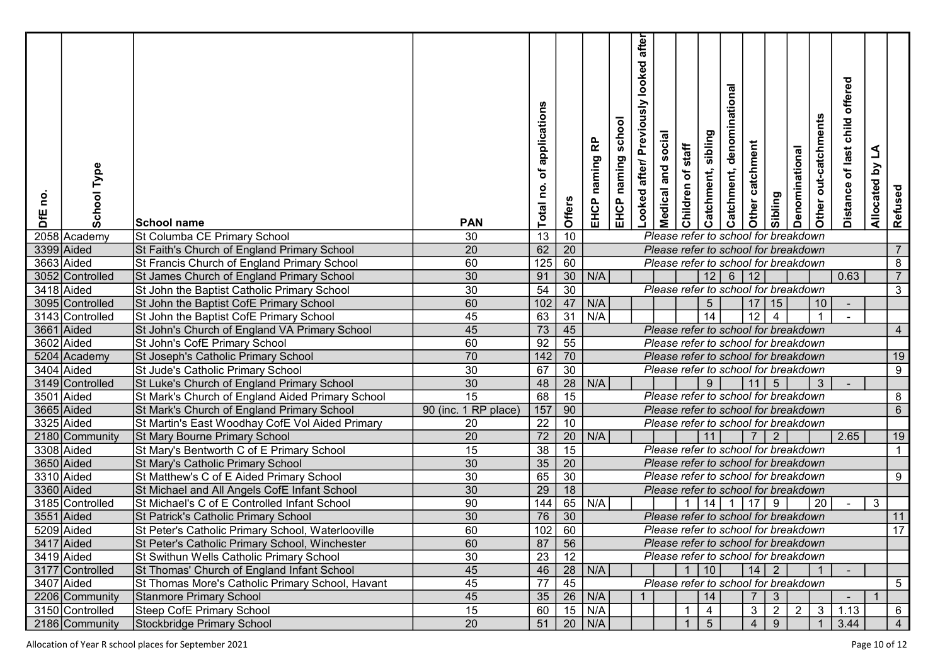| Type<br>School<br>e<br>DfE    | <b>School name</b>                                                                      | <b>PAN</b>           | of applications<br>Total no. | Offers                             | 윤<br>naming<br>EHCP | school<br>EHCP naming | after<br>looked<br>Looked after/ Previously | social<br><b>Medical and</b> | staff<br>Children of | sibling<br>Catchment, | denominational<br>Catchment, | Other catchment | Sibling         | Denominational                       | Other out-catchments | offered<br>child<br>Distance of last | L<br>$\mathbf{\Sigma}$<br>Allocated I | Refused         |
|-------------------------------|-----------------------------------------------------------------------------------------|----------------------|------------------------------|------------------------------------|---------------------|-----------------------|---------------------------------------------|------------------------------|----------------------|-----------------------|------------------------------|-----------------|-----------------|--------------------------------------|----------------------|--------------------------------------|---------------------------------------|-----------------|
| 2058 Academy                  | St Columba CE Primary School                                                            | 30                   | 13                           | 10                                 |                     |                       |                                             |                              |                      |                       |                              |                 |                 | Please refer to school for breakdown |                      |                                      |                                       |                 |
| 3399 Aided                    | St Faith's Church of England Primary School                                             | 20                   | 62                           | $\overline{20}$                    |                     |                       |                                             |                              |                      |                       |                              |                 |                 | Please refer to school for breakdown |                      |                                      |                                       |                 |
| 3663 Aided                    | St Francis Church of England Primary School                                             | 60                   | $\overline{125}$             | $\overline{60}$                    |                     |                       |                                             |                              |                      |                       |                              |                 |                 | Please refer to school for breakdown |                      |                                      |                                       | 8               |
| 3052 Controlled               | St James Church of England Primary School                                               | 30                   | 91                           | $\overline{30}$                    | N/A                 |                       |                                             |                              |                      | 12                    | $6\phantom{1}6$              | $\vert$ 12      |                 |                                      |                      | 0.63                                 |                                       | $\overline{7}$  |
| 3418 Aided                    | St John the Baptist Catholic Primary School                                             | 30                   | 54                           | $\overline{30}$                    |                     |                       |                                             |                              |                      |                       |                              |                 |                 | Please refer to school for breakdown |                      |                                      |                                       | $\overline{3}$  |
| 3095 Controlled               | St John the Baptist CofE Primary School                                                 | 60                   | 102                          | 47                                 | N/A                 |                       |                                             |                              |                      | $\overline{5}$        |                              |                 | 17 15           |                                      | 10                   |                                      |                                       |                 |
| 3143 Controlled               | St John the Baptist CofE Primary School                                                 | $\overline{45}$      | 63                           | $\overline{31}$                    | N/A                 |                       |                                             |                              |                      | 14                    |                              | $\overline{12}$ | $\overline{4}$  |                                      |                      |                                      |                                       |                 |
| 3661 Aided                    | St John's Church of England VA Primary School                                           | 45                   | $\overline{73}$              | $\overline{45}$                    |                     |                       |                                             |                              |                      |                       |                              |                 |                 | Please refer to school for breakdown |                      |                                      |                                       | $\overline{4}$  |
| 3602 Aided                    | St John's CofE Primary School                                                           | 60                   | 92                           | 55                                 |                     |                       |                                             |                              |                      |                       |                              |                 |                 | Please refer to school for breakdown |                      |                                      |                                       |                 |
| 5204 Academy                  | St Joseph's Catholic Primary School                                                     | 70                   | $\overline{142}$             | $\overline{70}$<br>$\overline{30}$ |                     |                       |                                             |                              |                      |                       |                              |                 |                 | Please refer to school for breakdown |                      |                                      |                                       | 19              |
| 3404 Aided                    | St Jude's Catholic Primary School                                                       | 30                   | 67                           |                                    |                     |                       |                                             |                              |                      |                       |                              |                 |                 | Please refer to school for breakdown |                      |                                      |                                       | $\overline{9}$  |
| 3149 Controlled<br>3501 Aided | St Luke's Church of England Primary School                                              | 30<br>15             | 48                           | $\overline{28}$<br>$\overline{15}$ | N/A                 |                       |                                             |                              |                      | 9                     |                              | 11              | $5\overline{)}$ | Please refer to school for breakdown | $\mathbf{3}$         |                                      |                                       | 8               |
| 3665 Aided                    | St Mark's Church of England Aided Primary School                                        | 90 (inc. 1 RP place) | 68<br>$\overline{157}$       | 90                                 |                     |                       |                                             |                              |                      |                       |                              |                 |                 | Please refer to school for breakdown |                      |                                      |                                       | $6\phantom{.}$  |
| 3325 Aided                    | St Mark's Church of England Primary School                                              |                      |                              | 10                                 |                     |                       |                                             |                              |                      |                       |                              |                 |                 | Please refer to school for breakdown |                      |                                      |                                       |                 |
| 2180 Community                | St Martin's East Woodhay CofE Vol Aided Primary<br><b>St Mary Bourne Primary School</b> | 20<br>20             | $\overline{22}$<br>72        | 20                                 | N/A                 |                       |                                             |                              |                      | 11                    |                              |                 | $\overline{2}$  |                                      |                      | 2.65                                 |                                       | 19              |
| 3308 Aided                    | St Mary's Bentworth C of E Primary School                                               | 15                   | 38                           | 15                                 |                     |                       |                                             |                              |                      |                       |                              |                 |                 | Please refer to school for breakdown |                      |                                      |                                       | $\mathbf{1}$    |
| 3650 Aided                    | St Mary's Catholic Primary School                                                       | 30                   | 35                           | $\overline{20}$                    |                     |                       |                                             |                              |                      |                       |                              |                 |                 | Please refer to school for breakdown |                      |                                      |                                       |                 |
| 3310 Aided                    | St Matthew's C of E Aided Primary School                                                | $\overline{30}$      | 65                           | $\overline{30}$                    |                     |                       |                                             |                              |                      |                       |                              |                 |                 | Please refer to school for breakdown |                      |                                      |                                       | 9               |
| 3360 Aided                    | St Michael and All Angels CofE Infant School                                            | $\overline{30}$      | 29                           | 18                                 |                     |                       |                                             |                              |                      |                       |                              |                 |                 | Please refer to school for breakdown |                      |                                      |                                       |                 |
| 3185 Controlled               | St Michael's C of E Controlled Infant School                                            | $\overline{90}$      | 144                          | 65                                 | N/A                 |                       |                                             |                              |                      | 14                    | $\overline{1}$               | 17              | 9               |                                      | 20                   |                                      | 3                                     |                 |
| 3551 Aided                    | St Patrick's Catholic Primary School                                                    | 30                   | 76                           | 30                                 |                     |                       |                                             |                              |                      |                       |                              |                 |                 | Please refer to school for breakdown |                      |                                      |                                       | 11              |
| 5209 Aided                    | St Peter's Catholic Primary School, Waterlooville                                       | 60                   | 102                          | 60                                 |                     |                       |                                             |                              |                      |                       |                              |                 |                 | Please refer to school for breakdown |                      |                                      |                                       | $\overline{17}$ |
| 3417 Aided                    | St Peter's Catholic Primary School, Winchester                                          | 60                   | 87                           | 56                                 |                     |                       |                                             |                              |                      |                       |                              |                 |                 | Please refer to school for breakdown |                      |                                      |                                       |                 |
| 3419 Aided                    | St Swithun Wells Catholic Primary School                                                | 30 <sup>2</sup>      | $\overline{23}$              | $\overline{12}$                    |                     |                       |                                             |                              |                      |                       |                              |                 |                 | Please refer to school for breakdown |                      |                                      |                                       |                 |
| 3177 Controlled               | St Thomas' Church of England Infant School                                              | 45                   | 46                           | $\overline{28}$                    | N/A                 |                       |                                             |                              |                      | $1 \mid 10 \mid$      |                              | 14 2            |                 |                                      |                      |                                      |                                       |                 |
| 3407 Aided                    | St Thomas More's Catholic Primary School, Havant                                        | 45                   | 77                           | $\overline{45}$                    |                     |                       |                                             |                              |                      |                       |                              |                 |                 | Please refer to school for breakdown |                      |                                      |                                       | 5               |
| 2206 Community                | Stanmore Primary School                                                                 | 45                   | 35                           | $\overline{26}$                    | N/A                 |                       |                                             |                              |                      | 14                    |                              | $\overline{7}$  | $\mathbf{3}$    |                                      |                      |                                      |                                       |                 |
| 3150 Controlled               | Steep CofE Primary School                                                               | 15                   | 60                           |                                    | $15$ N/A            |                       |                                             |                              |                      | 4                     |                              | $\mathbf{3}$    | $\overline{2}$  | $\overline{2}$                       |                      | $3 \mid 1.13$                        |                                       | 6               |
| 2186 Community                | Stockbridge Primary School                                                              | $\overline{20}$      |                              |                                    | $51$   20   N/A     |                       |                                             |                              |                      | $5\overline{)}$       |                              | $4 \mid$        | $\overline{9}$  |                                      |                      | $1 \mid 3.44$                        |                                       | $\overline{4}$  |
|                               |                                                                                         |                      |                              |                                    |                     |                       |                                             |                              |                      |                       |                              |                 |                 |                                      |                      |                                      |                                       |                 |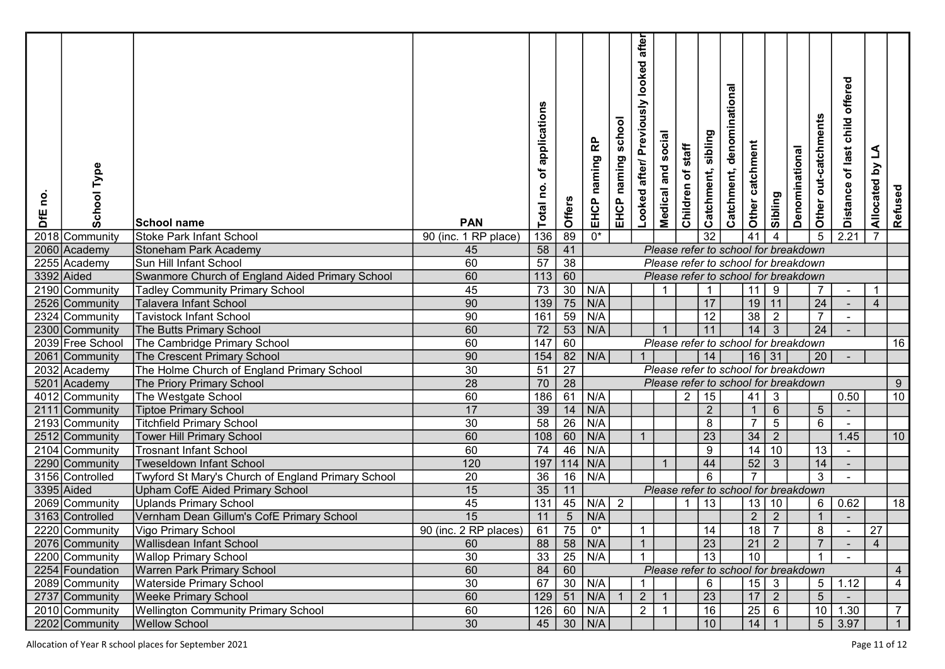| <b>School Type</b><br><u>o</u><br>DfE | School name                                        | <b>PAN</b>            | of applications<br>Total no. | Offers          | 윤<br>naming<br>EHCP | school<br>EHCP naming | after<br>looked<br>Looked after/ Previously | social<br>and<br>Medical | staff<br>Children of | sibling<br>Catchment, | denominational<br>Catchment,         | Other catchment    | Sibling        | Denominational | Other out-catchments | offered<br>child<br>Distance of last | L<br>Allocated by | Refused        |  |
|---------------------------------------|----------------------------------------------------|-----------------------|------------------------------|-----------------|---------------------|-----------------------|---------------------------------------------|--------------------------|----------------------|-----------------------|--------------------------------------|--------------------|----------------|----------------|----------------------|--------------------------------------|-------------------|----------------|--|
| 2018 Community                        | <b>Stoke Park Infant School</b>                    | 90 (inc. 1 RP place)  | 136                          | 89              | $\overline{0^*}$    |                       |                                             |                          |                      | $\overline{32}$       |                                      | 41                 | $\overline{4}$ |                | $\sqrt{5}$           | 2.21                                 | $\overline{7}$    |                |  |
| 2060 Academy                          | <b>Stoneham Park Academy</b>                       | 45                    | 58                           | 41              |                     |                       |                                             |                          |                      |                       | Please refer to school for breakdown |                    |                |                |                      |                                      |                   |                |  |
| 2255 Academy                          | Sun Hill Infant School                             | 60                    | 57                           | $\overline{38}$ |                     |                       |                                             |                          |                      |                       | Please refer to school for breakdown |                    |                |                |                      |                                      |                   |                |  |
| 3392 Aided                            | Swanmore Church of England Aided Primary School    | 60                    | $\overline{113}$             | $\overline{60}$ |                     |                       |                                             |                          |                      |                       | Please refer to school for breakdown |                    |                |                |                      |                                      |                   |                |  |
| 2190 Community                        | <b>Tadley Community Primary School</b>             | 45                    | $\overline{73}$              | $\overline{30}$ | N/A                 |                       |                                             |                          |                      |                       |                                      | 11                 | $\overline{9}$ |                | $\overline{7}$       |                                      | $\overline{1}$    |                |  |
| 2526 Community                        | <b>Talavera Infant School</b>                      | 90                    | 139                          | 75              | N/A                 |                       |                                             |                          |                      | 17                    |                                      | 19                 | $\vert$ 11     |                | $\overline{24}$      |                                      | $\overline{4}$    |                |  |
| 2324 Community                        | <b>Tavistock Infant School</b>                     | 90                    | 161                          | $\overline{59}$ | N/A                 |                       |                                             |                          |                      | 12                    |                                      | $\overline{38}$    | $\overline{2}$ |                | $\overline{7}$       |                                      |                   |                |  |
| 2300 Community                        | The Butts Primary School                           | 60                    | $\overline{72}$              | $\overline{53}$ | N/A                 |                       |                                             |                          |                      | 11                    |                                      | 14                 | $\overline{3}$ |                | $\overline{24}$      |                                      |                   |                |  |
| 2039 Free School                      | The Cambridge Primary School                       | 60                    | 147                          | 60              |                     |                       |                                             |                          |                      |                       | Please refer to school for breakdown |                    |                |                |                      |                                      |                   | 16             |  |
| 2061<br>Community                     | The Crescent Primary School                        | 90                    | 154                          | 82              | N/A                 |                       |                                             |                          |                      | 14                    |                                      | $16$ 31            |                |                | 20                   |                                      |                   |                |  |
| 2032 Academy                          | The Holme Church of England Primary School         | 30                    | $\overline{51}$              | $\overline{27}$ |                     |                       |                                             |                          |                      |                       | Please refer to school for breakdown |                    |                |                |                      |                                      |                   |                |  |
| 5201<br>Academy                       | The Priory Primary School                          | 28                    | 70                           | $\overline{28}$ |                     |                       |                                             |                          |                      |                       | Please refer to school for breakdown |                    |                |                |                      |                                      |                   | 9              |  |
| 4012 Community                        | The Westgate School                                | 60                    | 186                          | 61              | N/A                 |                       |                                             |                          | $\overline{2}$       | 15                    |                                      | 41                 | $\mathbf{3}$   |                |                      | 0.50                                 |                   | $10$           |  |
| 2111<br> Community                    | <b>Tiptoe Primary School</b>                       | 17                    | 39                           | 14              | N/A                 |                       |                                             |                          |                      | $\overline{2}$        |                                      | $\overline{1}$     | $6\phantom{1}$ |                | $5\phantom{.0}$      |                                      |                   |                |  |
| 2193 Community                        | <b>Titchfield Primary School</b>                   | 30                    | 58                           | $\overline{26}$ | N/A                 |                       |                                             |                          |                      | 8                     |                                      | $\overline{7}$     | $\overline{5}$ |                | 6                    | $\sim$                               |                   |                |  |
| 2512 Community                        | <b>Tower Hill Primary School</b>                   | 60                    | 108                          | 60              | N/A                 |                       | $\overline{1}$                              |                          |                      | 23                    |                                      | 34                 | $\overline{2}$ |                |                      | 1.45                                 |                   | 10             |  |
| 2104 Community                        | <b>Trosnant Infant School</b>                      | 60                    | 74                           | 46              | N/A                 |                       |                                             |                          |                      | 9                     |                                      | 14                 | 10             |                | 13                   |                                      |                   |                |  |
| 2290 Community                        | <b>Tweseldown Infant School</b>                    | 120                   | 197                          | 114             | N/A                 |                       |                                             |                          |                      | 44                    |                                      | 52                 | $\mathbf{3}$   |                | 14                   |                                      |                   |                |  |
| 3156 Controlled                       | Twyford St Mary's Church of England Primary School | 20                    | 36                           | 16              | N/A                 |                       |                                             |                          |                      | $6\phantom{1}6$       |                                      |                    |                |                | $\overline{3}$       |                                      |                   |                |  |
| 3395 Aided                            | Upham CofE Aided Primary School                    | 15                    | 35                           | 11              |                     |                       |                                             |                          |                      |                       | Please refer to school for breakdown |                    |                |                |                      |                                      |                   |                |  |
| 2069 Community                        | <b>Uplands Primary School</b>                      | 45                    | 131                          | 45              | $N/A$ 2             |                       |                                             |                          |                      | 13                    |                                      | 13 10              |                |                | 6 <sup>1</sup>       | 0.62                                 |                   | 18             |  |
| 3163 Controlled                       | Vernham Dean Gillum's CofE Primary School          | 15                    | 11                           | $\sqrt{5}$      | N/A                 |                       |                                             |                          |                      |                       |                                      | $\overline{2}$     | $\overline{2}$ |                | $\mathbf{1}$         |                                      |                   |                |  |
| 2220 Community                        | Vigo Primary School                                | 90 (inc. 2 RP places) | 61                           | 75              | $0^*$               |                       | $\mathbf 1$                                 |                          |                      | 14                    |                                      | 18                 | $\overline{7}$ |                | 8                    |                                      | 27                |                |  |
| 2076 Community                        | Wallisdean Infant School                           | 60                    | 88                           |                 | $58$ N/A            |                       | $\mathbf{1}$                                |                          |                      | 23                    |                                      | $\vert 21 \vert 2$ |                |                | $\overline{7}$       |                                      | $\overline{4}$    |                |  |
| 2200 Community                        | <b>Wallop Primary School</b>                       | 30 <sup>2</sup>       | $\overline{33}$              | $\overline{25}$ | N/A                 |                       |                                             |                          |                      | 13                    |                                      | 10                 |                |                |                      |                                      |                   |                |  |
| 2254 Foundation                       | <b>Warren Park Primary School</b>                  | 60                    | 84                           | 60              |                     |                       |                                             |                          |                      |                       | Please refer to school for breakdown |                    |                |                |                      |                                      |                   | 4              |  |
| 2089 Community                        | <b>Waterside Primary School</b>                    | 30                    | 67                           | 30              | N/A                 |                       | $\mathbf{1}$                                |                          |                      | $6\phantom{.}6$       |                                      | $15 \mid 3$        |                |                |                      | $5 \mid 1.12$                        |                   | 4              |  |
| 2737 Community                        | <b>Weeke Primary School</b>                        | 60                    | $129$ 51                     |                 | N/A                 | $\blacktriangleleft$  | $\overline{2}$                              |                          |                      | $\overline{23}$       |                                      | 17                 | $\overline{2}$ |                | 5 <sup>7</sup>       |                                      |                   |                |  |
| 2010 Community                        | <b>Wellington Community Primary School</b>         | 60                    |                              |                 | $126$ 60 N/A        |                       | $\overline{2}$                              | $\overline{1}$           |                      | $\overline{16}$       |                                      | $25 \mid 6$        |                |                |                      | $10$ 1.30                            |                   | $\overline{7}$ |  |
| 2202 Community                        | <b>Wellow School</b>                               | $\overline{30}$       |                              |                 | $45$   30   N/A     |                       |                                             |                          |                      | 10                    |                                      | $14 \mid 1$        |                |                |                      | $5 \mid 3.97$                        |                   | $\overline{1}$ |  |

Allocation of Year R school places for September 2021 **Page 11 of 12**